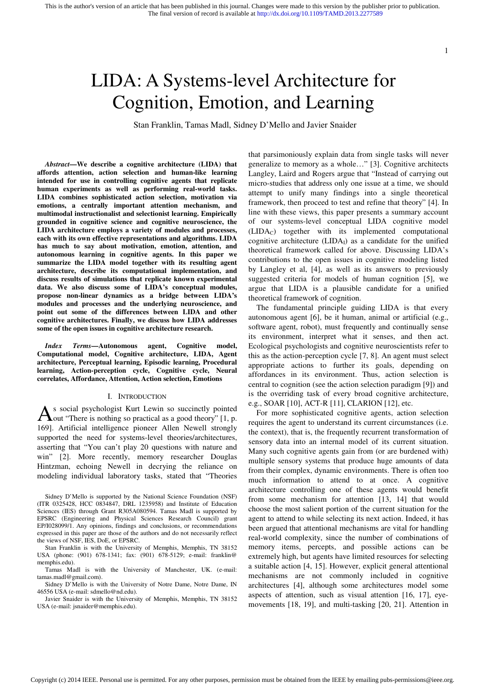# LIDA: A Systems-level Architecture for Cognition, Emotion, and Learning

Stan Franklin, Tamas Madl, Sidney D'Mello and Javier Snaider

*Abstract***—We describe a cognitive architecture (LIDA) that affords attention, action selection and human-like learning intended for use in controlling cognitive agents that replicate human experiments as well as performing real-world tasks. LIDA combines sophisticated action selection, motivation via emotions, a centrally important attention mechanism, and multimodal instructionalist and selectionist learning. Empirically grounded in cognitive science and cognitive neuroscience, the LIDA architecture employs a variety of modules and processes, each with its own effective representations and algorithms. LIDA has much to say about motivation, emotion, attention, and autonomous learning in cognitive agents. In this paper we summarize the LIDA model together with its resulting agent architecture, describe its computational implementation, and discuss results of simulations that replicate known experimental data. We also discuss some of LIDA's conceptual modules, propose non-linear dynamics as a bridge between LIDA's modules and processes and the underlying neuroscience, and point out some of the differences between LIDA and other cognitive architectures. Finally, we discuss how LIDA addresses some of the open issues in cognitive architecture research.** 

*Index Terms***—Autonomous agent, Cognitive model, Computational model, Cognitive architecture, LIDA, Agent architecture, Perceptual learning, Episodic learning, Procedural learning, Action-perception cycle, Cognitive cycle, Neural correlates, Affordance, Attention, Action selection, Emotions** 

#### I. INTRODUCTION

s social psychologist Kurt Lewin so succinctly pointed As social psychologist Kurt Lewin so succinctly pointed<br>
out "There is nothing so practical as a good theory" [1, p. 169]. Artificial intelligence pioneer Allen Newell strongly supported the need for systems-level theories/architectures, asserting that "You can't play 20 questions with nature and win" [2]. More recently, memory researcher Douglas Hintzman, echoing Newell in decrying the reliance on modeling individual laboratory tasks, stated that "Theories

Stan Franklin is with the University of Memphis, Memphis, TN 38152 USA (phone: (901) 678-1341; fax: (901) 678-5129; e-mail: franklin@ memphis.edu).

Tamas Madl is with the University of Manchester, UK. (e-mail: tamas.madl@gmail.com).

Sidney D'Mello is with the University of Notre Dame, Notre Dame, IN 46556 USA (e-mail: sdmello@nd.edu).

Javier Snaider is with the University of Memphis, Memphis, TN 38152 USA (e-mail: jsnaider@memphis.edu).

that parsimoniously explain data from single tasks will never generalize to memory as a whole…" [3]. Cognitive architects Langley, Laird and Rogers argue that "Instead of carrying out micro-studies that address only one issue at a time, we should attempt to unify many findings into a single theoretical framework, then proceed to test and refine that theory" [4]. In line with these views, this paper presents a summary account of our systems-level conceptual LIDA cognitive model  $(LIDA<sub>C</sub>)$  together with its implemented computational cognitive architecture (LIDA<sub>I</sub>) as a candidate for the unified theoretical framework called for above. Discussing LIDA's contributions to the open issues in cognitive modeling listed by Langley et al, [4], as well as its answers to previously suggested criteria for models of human cognition [5], we argue that LIDA is a plausible candidate for a unified theoretical framework of cognition.

1

The fundamental principle guiding LIDA is that every autonomous agent [6], be it human, animal or artificial (e.g., software agent, robot), must frequently and continually sense its environment, interpret what it senses, and then act. Ecological psychologists and cognitive neuroscientists refer to this as the action-perception cycle [7, 8]. An agent must select appropriate actions to further its goals, depending on affordances in its environment. Thus, action selection is central to cognition (see the action selection paradigm [9]) and is the overriding task of every broad cognitive architecture, e.g., SOAR [10], ACT-R [11], CLARION [12], etc.

For more sophisticated cognitive agents, action selection requires the agent to understand its current circumstances (i.e. the context), that is, the frequently recurrent transformation of sensory data into an internal model of its current situation. Many such cognitive agents gain from (or are burdened with) multiple sensory systems that produce huge amounts of data from their complex, dynamic environments. There is often too much information to attend to at once. A cognitive architecture controlling one of these agents would benefit from some mechanism for attention [13, 14] that would choose the most salient portion of the current situation for the agent to attend to while selecting its next action. Indeed, it has been argued that attentional mechanisms are vital for handling real-world complexity, since the number of combinations of memory items, percepts, and possible actions can be extremely high, but agents have limited resources for selecting a suitable action [4, 15]. However, explicit general attentional mechanisms are not commonly included in cognitive architectures [4], although some architectures model some aspects of attention, such as visual attention [16, 17], eyemovements [18, 19], and multi-tasking [20, 21]. Attention in

Sidney D'Mello is supported by the National Science Foundation (NSF) (ITR 0325428, HCC 0834847, DRL 1235958) and Institute of Education Sciences (IES) through Grant R305A080594. Tamas Madl is supported by EPSRC (Engineering and Physical Sciences Research Council) grant EP/I028099/1. Any opinions, findings and conclusions, or recommendations expressed in this paper are those of the authors and do not necessarily reflect the views of NSF, IES, DoE, or EPSRC.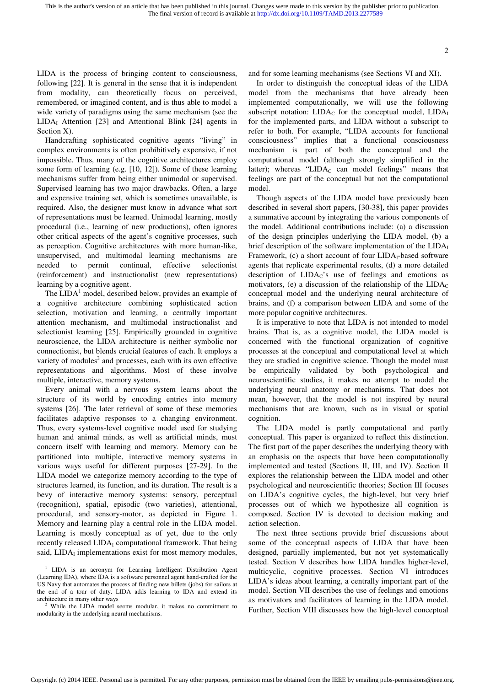LIDA is the process of bringing content to consciousness, following [22]. It is general in the sense that it is independent from modality, can theoretically focus on perceived, remembered, or imagined content, and is thus able to model a wide variety of paradigms using the same mechanism (see the  $LIDA<sub>I</sub>$  Attention [23] and Attentional Blink [24] agents in Section X).

Handcrafting sophisticated cognitive agents "living" in complex environments is often prohibitively expensive, if not impossible. Thus, many of the cognitive architectures employ some form of learning (e.g. [10, 12]). Some of these learning mechanisms suffer from being either unimodal or supervised. Supervised learning has two major drawbacks. Often, a large and expensive training set, which is sometimes unavailable, is required. Also, the designer must know in advance what sort of representations must be learned. Unimodal learning, mostly procedural (i.e., learning of new productions), often ignores other critical aspects of the agent's cognitive processes, such as perception. Cognitive architectures with more human-like, unsupervised, and multimodal learning mechanisms are needed to permit continual, effective selectionist (reinforcement) and instructionalist (new representations) learning by a cognitive agent.

The  $LIDA<sup>1</sup>$  model, described below, provides an example of a cognitive architecture combining sophisticated action selection, motivation and learning, a centrally important attention mechanism, and multimodal instructionalist and selectionist learning [25]. Empirically grounded in cognitive neuroscience, the LIDA architecture is neither symbolic nor connectionist, but blends crucial features of each. It employs a variety of modules<sup>2</sup> and processes, each with its own effective representations and algorithms. Most of these involve multiple, interactive, memory systems.

Every animal with a nervous system learns about the structure of its world by encoding entries into memory systems [26]. The later retrieval of some of these memories facilitates adaptive responses to a changing environment. Thus, every systems-level cognitive model used for studying human and animal minds, as well as artificial minds, must concern itself with learning and memory. Memory can be partitioned into multiple, interactive memory systems in various ways useful for different purposes [27-29]. In the LIDA model we categorize memory according to the type of structures learned, its function, and its duration. The result is a bevy of interactive memory systems: sensory, perceptual (recognition), spatial, episodic (two varieties), attentional, procedural, and sensory-motor, as depicted in Figure 1. Memory and learning play a central role in the LIDA model. Learning is mostly conceptual as of yet, due to the only recently released LIDA<sub>I</sub> computational framework. That being said, LIDA<sub>I</sub> implementations exist for most memory modules, and for some learning mechanisms (see Sections VI and XI).

In order to distinguish the conceptual ideas of the LIDA model from the mechanisms that have already been implemented computationally, we will use the following subscript notation:  $LIDA<sub>C</sub>$  for the conceptual model,  $LIDA<sub>I</sub>$ for the implemented parts, and LIDA without a subscript to refer to both. For example, "LIDA accounts for functional consciousness" implies that a functional consciousness mechanism is part of both the conceptual and the computational model (although strongly simplified in the latter); whereas "LIDA $<sub>C</sub>$  can model feelings" means that</sub> feelings are part of the conceptual but not the computational model.

Though aspects of the LIDA model have previously been described in several short papers, [30-38], this paper provides a summative account by integrating the various components of the model. Additional contributions include: (a) a discussion of the design principles underlying the LIDA model, (b) a brief description of the software implementation of the  $LIDA<sub>I</sub>$ Framework, (c) a short account of four LIDA<sub>I</sub>-based software agents that replicate experimental results, (d) a more detailed description of  $LIDA<sub>C</sub>$ 's use of feelings and emotions as motivators, (e) a discussion of the relationship of the  $LIDA<sub>C</sub>$ conceptual model and the underlying neural architecture of brains, and (f) a comparison between LIDA and some of the more popular cognitive architectures.

It is imperative to note that LIDA is not intended to model brains. That is, as a cognitive model, the LIDA model is concerned with the functional organization of cognitive processes at the conceptual and computational level at which they are studied in cognitive science. Though the model must be empirically validated by both psychological and neuroscientific studies, it makes no attempt to model the underlying neural anatomy or mechanisms. That does not mean, however, that the model is not inspired by neural mechanisms that are known, such as in visual or spatial cognition.

The LIDA model is partly computational and partly conceptual. This paper is organized to reflect this distinction. The first part of the paper describes the underlying theory with an emphasis on the aspects that have been computationally implemented and tested (Sections II, III, and IV). Section II explores the relationship between the LIDA model and other psychological and neuroscientific theories; Section III focuses on LIDA's cognitive cycles, the high-level, but very brief processes out of which we hypothesize all cognition is composed. Section IV is devoted to decision making and action selection.

The next three sections provide brief discussions about some of the conceptual aspects of LIDA that have been designed, partially implemented, but not yet systematically tested. Section V describes how LIDA handles higher-level, multicyclic, cognitive processes. Section VI introduces LIDA's ideas about learning, a centrally important part of the model. Section VII describes the use of feelings and emotions as motivators and facilitators of learning in the LIDA model. Further, Section VIII discusses how the high-level conceptual

<sup>&</sup>lt;sup>1</sup> LIDA is an acronym for Learning Intelligent Distribution Agent (Learning IDA), where IDA is a software personnel agent hand-crafted for the US Navy that automates the process of finding new billets (jobs) for sailors at the end of a tour of duty. LIDA adds learning to IDA and extend its architecture in many other ways

<sup>2</sup> While the LIDA model seems modular, it makes no commitment to modularity in the underlying neural mechanisms.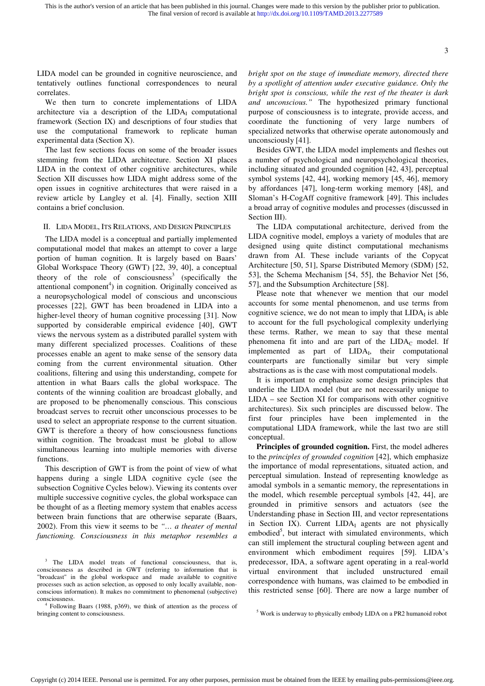LIDA model can be grounded in cognitive neuroscience, and tentatively outlines functional correspondences to neural correlates.

We then turn to concrete implementations of LIDA architecture via a description of the  $LIDA<sub>I</sub>$  computational framework (Section IX) and descriptions of four studies that use the computational framework to replicate human experimental data (Section X).

The last few sections focus on some of the broader issues stemming from the LIDA architecture. Section XI places LIDA in the context of other cognitive architectures, while Section XII discusses how LIDA might address some of the open issues in cognitive architectures that were raised in a review article by Langley et al. [4]. Finally, section XIII contains a brief conclusion.

#### II. LIDA MODEL, ITS RELATIONS, AND DESIGN PRINCIPLES

The LIDA model is a conceptual and partially implemented computational model that makes an attempt to cover a large portion of human cognition. It is largely based on Baars' Global Workspace Theory (GWT) [22, 39, 40], a conceptual theory of the role of consciousness<sup>3</sup> (specifically the attentional component<sup>4</sup>) in cognition. Originally conceived as a neuropsychological model of conscious and unconscious processes [22], GWT has been broadened in LIDA into a higher-level theory of human cognitive processing [31]. Now supported by considerable empirical evidence [40], GWT views the nervous system as a distributed parallel system with many different specialized processes. Coalitions of these processes enable an agent to make sense of the sensory data coming from the current environmental situation. Other coalitions, filtering and using this understanding, compete for attention in what Baars calls the global workspace. The contents of the winning coalition are broadcast globally, and are proposed to be phenomenally conscious. This conscious broadcast serves to recruit other unconscious processes to be used to select an appropriate response to the current situation. GWT is therefore a theory of how consciousness functions within cognition. The broadcast must be global to allow simultaneous learning into multiple memories with diverse functions.

This description of GWT is from the point of view of what happens during a single LIDA cognitive cycle (see the subsection Cognitive Cycles below). Viewing its contents over multiple successive cognitive cycles, the global workspace can be thought of as a fleeting memory system that enables access between brain functions that are otherwise separate (Baars, 2002). From this view it seems to be *"… a theater of mental functioning. Consciousness in this metaphor resembles a*  *bright spot on the stage of immediate memory, directed there by a spotlight of attention under executive guidance. Only the bright spot is conscious, while the rest of the theater is dark and unconscious."* The hypothesized primary functional purpose of consciousness is to integrate, provide access, and coordinate the functioning of very large numbers of specialized networks that otherwise operate autonomously and unconsciously [41].

Besides GWT, the LIDA model implements and fleshes out a number of psychological and neuropsychological theories, including situated and grounded cognition [42, 43], perceptual symbol systems [42, 44], working memory [45, 46], memory by affordances [47], long-term working memory [48], and Sloman's H-CogAff cognitive framework [49]. This includes a broad array of cognitive modules and processes (discussed in Section III).

The LIDA computational architecture, derived from the LIDA cognitive model, employs a variety of modules that are designed using quite distinct computational mechanisms drawn from AI. These include variants of the Copycat Architecture [50, 51], Sparse Distributed Memory (SDM) [52, 53], the Schema Mechanism [54, 55], the Behavior Net [56, 57], and the Subsumption Architecture [58].

Please note that whenever we mention that our model accounts for some mental phenomenon, and use terms from cognitive science, we do not mean to imply that  $LIDA<sub>I</sub>$  is able to account for the full psychological complexity underlying these terms. Rather, we mean to say that these mental phenomena fit into and are part of the  $LIDA_C$  model. If implemented as part of LIDA<sub>I</sub>, their computational counterparts are functionally similar but very simple abstractions as is the case with most computational models.

It is important to emphasize some design principles that underlie the LIDA model (but are not necessarily unique to LIDA – see Section XI for comparisons with other cognitive architectures). Six such principles are discussed below. The first four principles have been implemented in the computational LIDA framework, while the last two are still conceptual.

**Principles of grounded cognition.** First, the model adheres to the *principles of grounded cognition* [42], which emphasize the importance of modal representations, situated action, and perceptual simulation. Instead of representing knowledge as amodal symbols in a semantic memory, the representations in the model, which resemble perceptual symbols [42, 44], are grounded in primitive sensors and actuators (see the Understanding phase in Section III, and vector representations in Section IX). Current LIDA<sub>I</sub> agents are not physically embodied<sup>5</sup>, but interact with simulated environments, which can still implement the structural coupling between agent and environment which embodiment requires [59]. LIDA's predecessor, IDA, a software agent operating in a real-world virtual environment that included unstructured email correspondence with humans, was claimed to be embodied in this restricted sense [60]. There are now a large number of

<sup>&</sup>lt;sup>3</sup> The LIDA model treats of functional consciousness, that is, consciousness as described in GWT (referring to information that is "broadcast" in the global workspace and made available to cognitive processes such as action selection, as opposed to only locally available, nonconscious information). It makes no commitment to phenomenal (subjective) consciousness.

<sup>4</sup> Following Baars (1988, p369), we think of attention as the process of bringing content to consciousness.

<sup>&</sup>lt;sup>5</sup> Work is underway to physically embody LIDA on a PR2 humanoid robot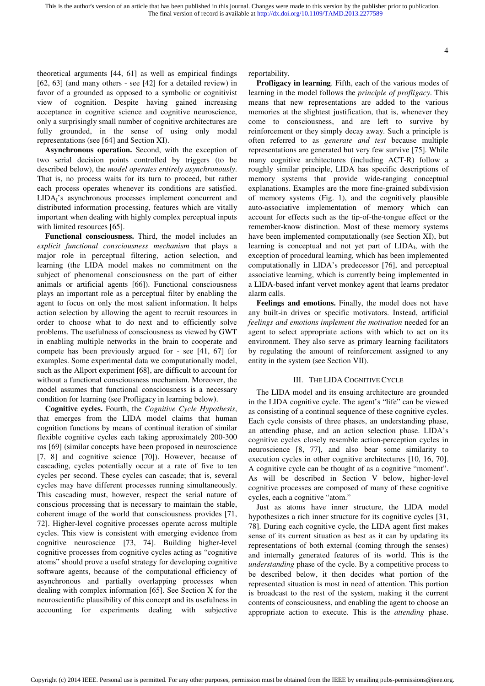theoretical arguments [44, 61] as well as empirical findings [62, 63] (and many others - see [42] for a detailed review) in favor of a grounded as opposed to a symbolic or cognitivist view of cognition. Despite having gained increasing acceptance in cognitive science and cognitive neuroscience, only a surprisingly small number of cognitive architectures are fully grounded, in the sense of using only modal representations (see [64] and Section XI).

**Asynchronous operation.** Second, with the exception of two serial decision points controlled by triggers (to be described below), the *model operates entirely asynchronously*. That is, no process waits for its turn to proceed, but rather each process operates whenever its conditions are satisfied. LIDA<sub>I</sub>'s asynchronous processes implement concurrent and distributed information processing, features which are vitally important when dealing with highly complex perceptual inputs with limited resources [65].

**Functional consciousness.** Third, the model includes an *explicit functional consciousness mechanism* that plays a major role in perceptual filtering, action selection, and learning (the LIDA model makes no commitment on the subject of phenomenal consciousness on the part of either animals or artificial agents [66]). Functional consciousness plays an important role as a perceptual filter by enabling the agent to focus on only the most salient information. It helps action selection by allowing the agent to recruit resources in order to choose what to do next and to efficiently solve problems. The usefulness of consciousness as viewed by GWT in enabling multiple networks in the brain to cooperate and compete has been previously argued for - see [41, 67] for examples. Some experimental data we computationally model, such as the Allport experiment [68], are difficult to account for without a functional consciousness mechanism. Moreover, the model assumes that functional consciousness is a necessary condition for learning (see Profligacy in learning below**)**.

**Cognitive cycles.** Fourth, the *Cognitive Cycle Hypothesis*, that emerges from the LIDA model claims that human cognition functions by means of continual iteration of similar flexible cognitive cycles each taking approximately 200-300 ms [69] (similar concepts have been proposed in neuroscience [7, 8] and cognitive science [70]). However, because of cascading, cycles potentially occur at a rate of five to ten cycles per second. These cycles can cascade; that is, several cycles may have different processes running simultaneously. This cascading must, however, respect the serial nature of conscious processing that is necessary to maintain the stable, coherent image of the world that consciousness provides [71, 72]. Higher-level cognitive processes operate across multiple cycles. This view is consistent with emerging evidence from cognitive neuroscience [73, 74]. Building higher-level cognitive processes from cognitive cycles acting as "cognitive atoms" should prove a useful strategy for developing cognitive software agents, because of the computational efficiency of asynchronous and partially overlapping processes when dealing with complex information [65]. See Section X for the neuroscientific plausibility of this concept and its usefulness in accounting for experiments dealing with subjective

reportability.

**Profligacy in learning**. Fifth, each of the various modes of learning in the model follows the *principle of profligacy*. This means that new representations are added to the various memories at the slightest justification, that is, whenever they come to consciousness, and are left to survive by reinforcement or they simply decay away. Such a principle is often referred to as *generate and test* because multiple representations are generated but very few survive [75]. While many cognitive architectures (including ACT-R) follow a roughly similar principle, LIDA has specific descriptions of memory systems that provide wide-ranging conceptual explanations. Examples are the more fine-grained subdivision of memory systems (Fig. 1), and the cognitively plausible auto-associative implementation of memory which can account for effects such as the tip-of-the-tongue effect or the remember-know distinction. Most of these memory systems have been implemented computationally (see Section XI), but learning is conceptual and not yet part of LIDA<sub>I</sub>, with the exception of procedural learning, which has been implemented computationally in LIDA's predecessor [76], and perceptual associative learning, which is currently being implemented in a LIDA-based infant vervet monkey agent that learns predator alarm calls.

4

**Feelings and emotions.** Finally, the model does not have any built-in drives or specific motivators. Instead, artificial *feelings and emotions implement the motivation* needed for an agent to select appropriate actions with which to act on its environment. They also serve as primary learning facilitators by regulating the amount of reinforcement assigned to any entity in the system (see Section VII).

## III. THE LIDA COGNITIVE CYCLE

The LIDA model and its ensuing architecture are grounded in the LIDA cognitive cycle. The agent's "life" can be viewed as consisting of a continual sequence of these cognitive cycles. Each cycle consists of three phases, an understanding phase, an attending phase, and an action selection phase. LIDA's cognitive cycles closely resemble action-perception cycles in neuroscience [8, 77], and also bear some similarity to execution cycles in other cognitive architectures [10, 16, 70]. A cognitive cycle can be thought of as a cognitive "moment". As will be described in Section V below, higher-level cognitive processes are composed of many of these cognitive cycles, each a cognitive "atom."

Just as atoms have inner structure, the LIDA model hypothesizes a rich inner structure for its cognitive cycles [31, 78]. During each cognitive cycle, the LIDA agent first makes sense of its current situation as best as it can by updating its representations of both external (coming through the senses) and internally generated features of its world. This is the *understanding* phase of the cycle. By a competitive process to be described below, it then decides what portion of the represented situation is most in need of attention. This portion is broadcast to the rest of the system, making it the current contents of consciousness, and enabling the agent to choose an appropriate action to execute. This is the *attending* phase.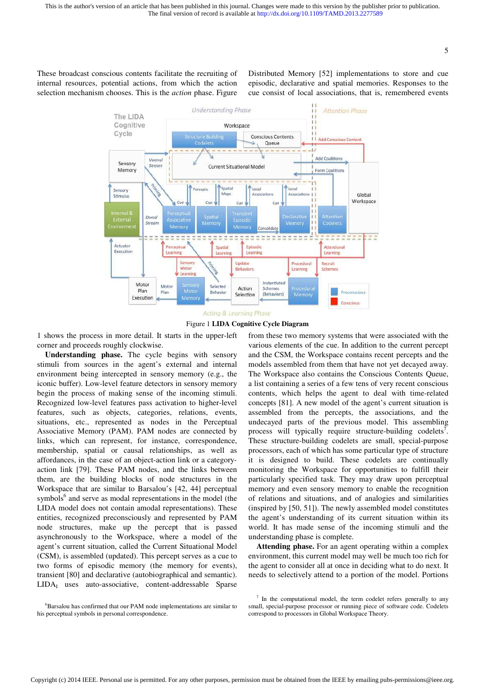These broadcast conscious contents facilitate the recruiting of internal resources, potential actions, from which the action selection mechanism chooses. This is the *action* phase. Figure

Distributed Memory [52] implementations to store and cue episodic, declarative and spatial memories. Responses to the cue consist of local associations, that is, remembered events



Figure 1 **LIDA Cognitive Cycle Diagram**

1 shows the process in more detail. It starts in the upper-left corner and proceeds roughly clockwise.

**Understanding phase.** The cycle begins with sensory stimuli from sources in the agent's external and internal environment being intercepted in sensory memory (e.g., the iconic buffer). Low-level feature detectors in sensory memory begin the process of making sense of the incoming stimuli. Recognized low-level features pass activation to higher-level features, such as objects, categories, relations, events, situations, etc., represented as nodes in the Perceptual Associative Memory (PAM). PAM nodes are connected by links, which can represent, for instance, correspondence, membership, spatial or causal relationships, as well as affordances, in the case of an object-action link or a categoryaction link [79]. These PAM nodes, and the links between them, are the building blocks of node structures in the Workspace that are similar to Barsalou's [42, 44] perceptual symbols<sup>6</sup> and serve as modal representations in the model (the LIDA model does not contain amodal representations). These entities, recognized preconsciously and represented by PAM node structures, make up the percept that is passed asynchronously to the Workspace, where a model of the agent's current situation, called the Current Situational Model (CSM), is assembled (updated). This percept serves as a cue to two forms of episodic memory (the memory for events), transient [80] and declarative (autobiographical and semantic). LIDA<sub>I</sub> uses auto-associative, content-addressable Sparse

from these two memory systems that were associated with the various elements of the cue. In addition to the current percept and the CSM, the Workspace contains recent percepts and the models assembled from them that have not yet decayed away. The Workspace also contains the Conscious Contents Queue, a list containing a series of a few tens of very recent conscious contents, which helps the agent to deal with time-related concepts [81]. A new model of the agent's current situation is assembled from the percepts, the associations, and the undecayed parts of the previous model. This assembling process will typically require structure-building codelets<sup>7</sup>. These structure-building codelets are small, special-purpose processors, each of which has some particular type of structure it is designed to build. These codelets are continually monitoring the Workspace for opportunities to fulfill their particularly specified task. They may draw upon perceptual memory and even sensory memory to enable the recognition of relations and situations, and of analogies and similarities (inspired by [50, 51]). The newly assembled model constitutes the agent's understanding of its current situation within its world. It has made sense of the incoming stimuli and the understanding phase is complete.

**Attending phase.** For an agent operating within a complex environment, this current model may well be much too rich for the agent to consider all at once in deciding what to do next. It needs to selectively attend to a portion of the model. Portions

<sup>&</sup>lt;sup>6</sup>Barsalou has confirmed that our PAM node implementations are similar to his perceptual symbols in personal correspondence.

 $<sup>7</sup>$  In the computational model, the term codelet refers generally to any</sup> small, special-purpose processor or running piece of software code. Codelets correspond to processors in Global Workspace Theory.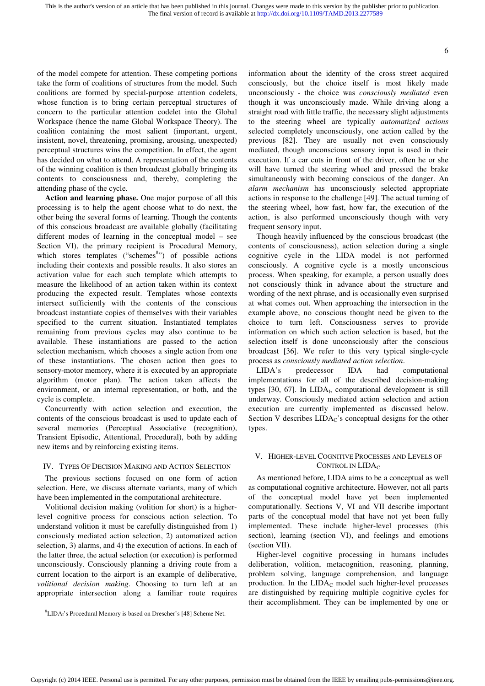of the model compete for attention. These competing portions take the form of coalitions of structures from the model. Such coalitions are formed by special-purpose attention codelets, whose function is to bring certain perceptual structures of concern to the particular attention codelet into the Global Workspace (hence the name Global Workspace Theory). The coalition containing the most salient (important, urgent, insistent, novel, threatening, promising, arousing, unexpected) perceptual structures wins the competition. In effect, the agent has decided on what to attend. A representation of the contents of the winning coalition is then broadcast globally bringing its contents to consciousness and, thereby, completing the attending phase of the cycle.

**Action and learning phase.** One major purpose of all this processing is to help the agent choose what to do next, the other being the several forms of learning. Though the contents of this conscious broadcast are available globally (facilitating different modes of learning in the conceptual model – see Section VI), the primary recipient is Procedural Memory, which stores templates ("schemes<sup>8</sup>") of possible actions including their contexts and possible results. It also stores an activation value for each such template which attempts to measure the likelihood of an action taken within its context producing the expected result. Templates whose contexts intersect sufficiently with the contents of the conscious broadcast instantiate copies of themselves with their variables specified to the current situation. Instantiated templates remaining from previous cycles may also continue to be available. These instantiations are passed to the action selection mechanism, which chooses a single action from one of these instantiations. The chosen action then goes to sensory-motor memory, where it is executed by an appropriate algorithm (motor plan). The action taken affects the environment, or an internal representation, or both, and the cycle is complete.

Concurrently with action selection and execution, the contents of the conscious broadcast is used to update each of several memories (Perceptual Associative (recognition), Transient Episodic, Attentional, Procedural), both by adding new items and by reinforcing existing items.

## IV. TYPES OF DECISION MAKING AND ACTION SELECTION

The previous sections focused on one form of action selection. Here, we discuss alternate variants, many of which have been implemented in the computational architecture.

Volitional decision making (volition for short) is a higherlevel cognitive process for conscious action selection. To understand volition it must be carefully distinguished from 1) consciously mediated action selection, 2) automatized action selection, 3) alarms, and 4) the execution of actions. In each of the latter three, the actual selection (or execution) is performed unconsciously. Consciously planning a driving route from a current location to the airport is an example of deliberative, *volitional decision making*. Choosing to turn left at an appropriate intersection along a familiar route requires

information about the identity of the cross street acquired consciously, but the choice itself is most likely made unconsciously - the choice was *consciously mediated* even though it was unconsciously made. While driving along a straight road with little traffic, the necessary slight adjustments to the steering wheel are typically *automatized actions* selected completely unconsciously, one action called by the previous [82]. They are usually not even consciously mediated, though unconscious sensory input is used in their execution. If a car cuts in front of the driver, often he or she will have turned the steering wheel and pressed the brake simultaneously with becoming conscious of the danger. An *alarm mechanism* has unconsciously selected appropriate actions in response to the challenge [49]. The actual turning of the steering wheel, how fast, how far, the execution of the action, is also performed unconsciously though with very frequent sensory input.

Though heavily influenced by the conscious broadcast (the contents of consciousness), action selection during a single cognitive cycle in the LIDA model is not performed consciously. A cognitive cycle is a mostly unconscious process. When speaking, for example, a person usually does not consciously think in advance about the structure and wording of the next phrase, and is occasionally even surprised at what comes out. When approaching the intersection in the example above, no conscious thought need be given to the choice to turn left. Consciousness serves to provide information on which such action selection is based, but the selection itself is done unconsciously after the conscious broadcast [36]. We refer to this very typical single-cycle process as *consciously mediated action selection*.

LIDA's predecessor IDA had computational implementations for all of the described decision-making types [30, 67]. In LIDA<sub>I</sub>, computational development is still underway. Consciously mediated action selection and action execution are currently implemented as discussed below. Section V describes  $LIDA<sub>C</sub>$ 's conceptual designs for the other types.

### V. HIGHER-LEVEL COGNITIVE PROCESSES AND LEVELS OF CONTROL IN  $LIDA_C$

As mentioned before, LIDA aims to be a conceptual as well as computational cognitive architecture. However, not all parts of the conceptual model have yet been implemented computationally. Sections V, VI and VII describe important parts of the conceptual model that have not yet been fully implemented. These include higher-level processes (this section), learning (section VI), and feelings and emotions (section VII).

Higher-level cognitive processing in humans includes deliberation, volition, metacognition, reasoning, planning, problem solving, language comprehension, and language production. In the  $LIDA<sub>C</sub>$  model such higher-level processes are distinguished by requiring multiple cognitive cycles for their accomplishment. They can be implemented by one or

 ${}^{8}$ LIDA<sub>I</sub>'s Procedural Memory is based on Drescher's [48] Scheme Net.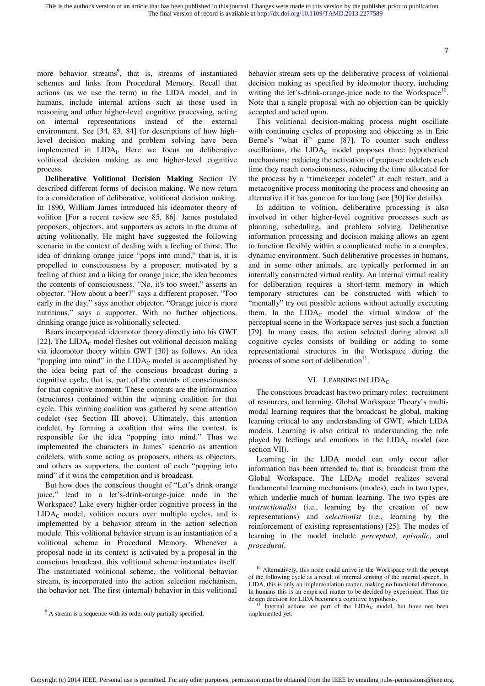more behavior streams<sup>9</sup>, that is, streams of instantiated schemes and links from Procedural Memory. Recall that actions (as we use the term) in the LIDA model, and in humans, include internal actions such as those used in reasoning and other higher-level cognitive processing, acting on internal representations instead of the external environment. See [34, 83, 84] for descriptions of how highlevel decision making and problem solving have been implemented in LIDA<sub>I</sub>. Here we focus on deliberative volitional decision making as one higher-level cognitive process.

**Deliberative Volitional Decision Making** Section IV described different forms of decision making. We now return to a consideration of deliberative, volitional decision making. In 1890, William James introduced his ideomotor theory of volition [For a recent review see 85, 86]. James postulated proposers, objectors, and supporters as actors in the drama of acting volitionally. He might have suggested the following scenario in the context of dealing with a feeling of thirst. The idea of drinking orange juice "pops into mind," that is, it is propelled to consciousness by a proposer; motivated by a feeling of thirst and a liking for orange juice, the idea becomes the contents of consciousness. "No, it's too sweet," asserts an objector. "How about a beer?" says a different proposer. "Too early in the day," says another objector. "Orange juice is more nutritious," says a supporter. With no further objections, drinking orange juice is volitionally selected.

Baars incorporated ideomotor theory directly into his GWT [22]. The  $LIDA<sub>C</sub>$  model fleshes out volitional decision making via ideomotor theory within GWT [30] as follows. An idea "popping into mind" in the  $LIDA<sub>C</sub>$  model is accomplished by the idea being part of the conscious broadcast during a cognitive cycle, that is, part of the contents of consciousness for that cognitive moment. These contents are the information (structures) contained within the winning coalition for that cycle. This winning coalition was gathered by some attention codelet (see Section III above). Ultimately, this attention codelet, by forming a coalition that wins the contest, is responsible for the idea "popping into mind." Thus we implemented the characters in James' scenario as attention codelets, with some acting as proposers, others as objectors, and others as supporters, the content of each "popping into mind" if it wins the competition and is broadcast.

But how does the conscious thought of "Let's drink orange juice," lead to a let's-drink-orange-juice node in the Workspace? Like every higher-order cognitive process in the  $LIDA_C$  model, volition occurs over multiple cycles, and is implemented by a behavior stream in the action selection module. This volitional behavior stream is an instantiation of a volitional scheme in Procedural Memory. Whenever a proposal node in its context is activated by a proposal in the conscious broadcast, this volitional scheme instantiates itself. The instantiated volitional scheme, the volitional behavior stream, is incorporated into the action selection mechanism, the behavior net. The first (internal) behavior in this volitional

behavior stream sets up the deliberative process of volitional decision making as specified by ideomotor theory, including writing the let's-drink-orange-juice node to the Workspace<sup>10</sup>. Note that a single proposal with no objection can be quickly accepted and acted upon.

This volitional decision-making process might oscillate with continuing cycles of proposing and objecting as in Eric Berne's "what if" game [87]. To counter such endless oscillations, the  $LIDA<sub>C</sub>$  model proposes three hypothetical mechanisms: reducing the activation of proposer codelets each time they reach consciousness, reducing the time allocated for the process by a "timekeeper codelet" at each restart, and a metacognitive process monitoring the process and choosing an alternative if it has gone on for too long (see [30] for details).

In addition to volition, deliberative processing is also involved in other higher-level cognitive processes such as planning, scheduling, and problem solving. Deliberative information processing and decision making allows an agent to function flexibly within a complicated niche in a complex, dynamic environment. Such deliberative processes in humans, and in some other animals, are typically performed in an internally constructed virtual reality. An internal virtual reality for deliberation requires a short-term memory in which temporary structures can be constructed with which to "mentally" try out possible actions without actually executing them. In the  $LIDA_C$  model the virtual window of the perceptual scene in the Workspace serves just such a function [79]. In many cases, the action selected during almost all cognitive cycles consists of building or adding to some representational structures in the Workspace during the process of some sort of deliberation $11$ .

## VI. LEARNING IN LIDAC

The conscious broadcast has two primary roles: recruitment of resources, and learning. Global Workspace Theory's multimodal learning requires that the broadcast be global, making learning critical to any understanding of GWT, which LIDA models. Learning is also critical to understanding the role played by feelings and emotions in the LIDA<sub>c</sub> model (see section VII).

Learning in the LIDA model can only occur after information has been attended to, that is, broadcast from the Global Workspace. The  $LIDA<sub>C</sub>$  model realizes several fundamental learning mechanisms (modes), each in two types, which underlie much of human learning. The two types are *instructionalist* (i.e., learning by the creation of new representations) and *selectionist* (i.e., learning by the reinforcement of existing representations) [25]. The modes of learning in the model include *perceptual*, *episodic*, and *procedural*.

<sup>&</sup>lt;sup>9</sup> A stream is a sequence with its order only partially specified.

<sup>&</sup>lt;sup>10</sup> Alternatively, this node could arrive in the Workspace with the percept of the following cycle as a result of internal sensing of the internal speech. In LIDA, this is only an implementation matter, making no functional difference. In humans this is an empirical matter to be decided by experiment. Thus the design decision for LIDA becomes a cognitive hypothesis.

Internal actions are part of the LIDA<sub>C</sub> model, but have not been implemented yet.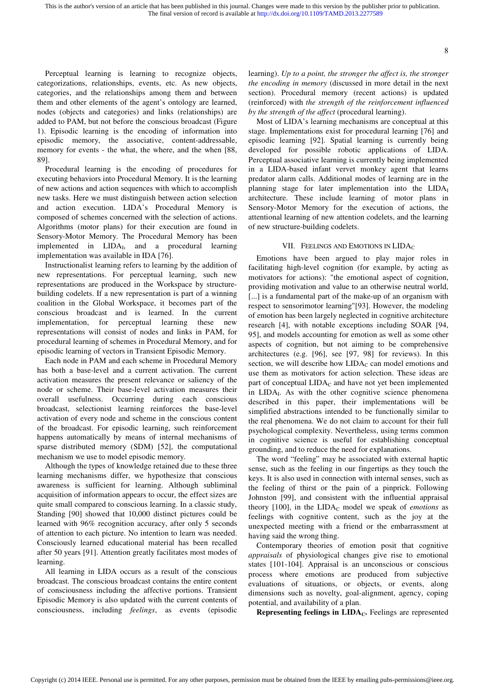Perceptual learning is learning to recognize objects, categorizations, relationships, events, etc. As new objects, categories, and the relationships among them and between them and other elements of the agent's ontology are learned, nodes (objects and categories) and links (relationships) are added to PAM, but not before the conscious broadcast (Figure 1). Episodic learning is the encoding of information into episodic memory, the associative, content-addressable, memory for events - the what, the where, and the when [88, 89].

Procedural learning is the encoding of procedures for executing behaviors into Procedural Memory. It is the learning of new actions and action sequences with which to accomplish new tasks. Here we must distinguish between action selection and action execution. LIDA's Procedural Memory is composed of schemes concerned with the selection of actions. Algorithms (motor plans) for their execution are found in Sensory-Motor Memory. The Procedural Memory has been implemented in LIDA<sub>I</sub>, and a procedural learning implementation was available in IDA [76].

Instructionalist learning refers to learning by the addition of new representations. For perceptual learning, such new representations are produced in the Workspace by structurebuilding codelets. If a new representation is part of a winning coalition in the Global Workspace, it becomes part of the conscious broadcast and is learned. In the current implementation, for perceptual learning these new representations will consist of nodes and links in PAM, for procedural learning of schemes in Procedural Memory, and for episodic learning of vectors in Transient Episodic Memory.

Each node in PAM and each scheme in Procedural Memory has both a base-level and a current activation. The current activation measures the present relevance or saliency of the node or scheme. Their base-level activation measures their overall usefulness. Occurring during each conscious broadcast, selectionist learning reinforces the base-level activation of every node and scheme in the conscious content of the broadcast. For episodic learning, such reinforcement happens automatically by means of internal mechanisms of sparse distributed memory (SDM) [52], the computational mechanism we use to model episodic memory.

Although the types of knowledge retained due to these three learning mechanisms differ, we hypothesize that conscious awareness is sufficient for learning. Although subliminal acquisition of information appears to occur, the effect sizes are quite small compared to conscious learning. In a classic study, Standing [90] showed that 10,000 distinct pictures could be learned with 96% recognition accuracy, after only 5 seconds of attention to each picture. No intention to learn was needed. Consciously learned educational material has been recalled after 50 years [91]. Attention greatly facilitates most modes of learning.

All learning in LIDA occurs as a result of the conscious broadcast. The conscious broadcast contains the entire content of consciousness including the affective portions. Transient Episodic Memory is also updated with the current contents of consciousness, including *feelings*, as events (episodic

learning). *Up to a point, the stronger the affect is, the stronger the encoding in memory* (discussed in more detail in the next section). Procedural memory (recent actions) is updated (reinforced) with *the strength of the reinforcement influenced by the strength of the affect* (procedural learning).

Most of LIDA's learning mechanisms are conceptual at this stage. Implementations exist for procedural learning [76] and episodic learning [92]. Spatial learning is currently being developed for possible robotic applications of LIDA. Perceptual associative learning is currently being implemented in a LIDA-based infant vervet monkey agent that learns predator alarm calls. Additional modes of learning are in the planning stage for later implementation into the LIDAI architecture. These include learning of motor plans in Sensory-Motor Memory for the execution of actions, the attentional learning of new attention codelets, and the learning of new structure-building codelets.

## VII. FEELINGS AND EMOTIONS IN  $LIDA<sub>C</sub>$

Emotions have been argued to play major roles in facilitating high-level cognition (for example, by acting as motivators for actions): "the emotional aspect of cognition, providing motivation and value to an otherwise neutral world, [...] is a fundamental part of the make-up of an organism with respect to sensorimotor learning"[93]. However, the modeling of emotion has been largely neglected in cognitive architecture research [4], with notable exceptions including SOAR [94, 95], and models accounting for emotion as well as some other aspects of cognition, but not aiming to be comprehensive architectures (e.g. [96], see [97, 98] for reviews). In this section, we will describe how  $LIDA<sub>C</sub>$  can model emotions and use them as motivators for action selection. These ideas are part of conceptual  $LIDA_C$  and have not yet been implemented in LIDA<sub>I</sub>. As with the other cognitive science phenomena described in this paper, their implementations will be simplified abstractions intended to be functionally similar to the real phenomena. We do not claim to account for their full psychological complexity. Nevertheless, using terms common in cognitive science is useful for establishing conceptual grounding, and to reduce the need for explanations.

The word "feeling" may be associated with external haptic sense, such as the feeling in our fingertips as they touch the keys. It is also used in connection with internal senses, such as the feeling of thirst or the pain of a pinprick. Following Johnston [99], and consistent with the influential appraisal theory  $[100]$ , in the LIDA<sub>C</sub> model we speak of *emotions* as feelings with cognitive content, such as the joy at the unexpected meeting with a friend or the embarrassment at having said the wrong thing.

Contemporary theories of emotion posit that cognitive *appraisals* of physiological changes give rise to emotional states [101-104]. Appraisal is an unconscious or conscious process where emotions are produced from subjective evaluations of situations, or objects, or events, along dimensions such as novelty, goal-alignment, agency, coping potential, and availability of a plan.

**Representing feelings in LIDA<sub>C</sub>**. Feelings are represented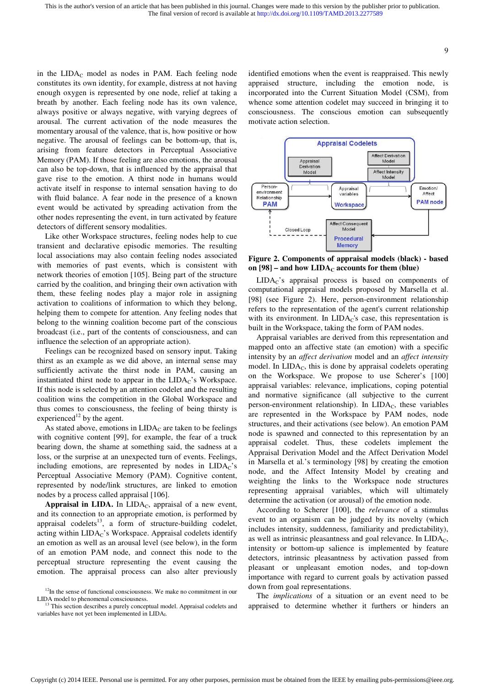in the  $LIDA<sub>C</sub>$  model as nodes in PAM. Each feeling node constitutes its own identity, for example, distress at not having enough oxygen is represented by one node, relief at taking a breath by another. Each feeling node has its own valence, always positive or always negative, with varying degrees of arousal. The current activation of the node measures the momentary arousal of the valence, that is, how positive or how negative. The arousal of feelings can be bottom-up, that is, arising from feature detectors in Perceptual Associative Memory (PAM). If those feeling are also emotions, the arousal can also be top-down, that is influenced by the appraisal that gave rise to the emotion. A thirst node in humans would activate itself in response to internal sensation having to do with fluid balance. A fear node in the presence of a known event would be activated by spreading activation from the other nodes representing the event, in turn activated by feature detectors of different sensory modalities.

Like other Workspace structures, feeling nodes help to cue transient and declarative episodic memories. The resulting local associations may also contain feeling nodes associated with memories of past events, which is consistent with network theories of emotion [105]. Being part of the structure carried by the coalition, and bringing their own activation with them, these feeling nodes play a major role in assigning activation to coalitions of information to which they belong, helping them to compete for attention. Any feeling nodes that belong to the winning coalition become part of the conscious broadcast (i.e., part of the contents of consciousness, and can influence the selection of an appropriate action).

Feelings can be recognized based on sensory input. Taking thirst as an example as we did above, an internal sense may sufficiently activate the thirst node in PAM, causing an instantiated thirst node to appear in the  $LIDA<sub>C</sub>$ 's Workspace. If this node is selected by an attention codelet and the resulting coalition wins the competition in the Global Workspace and thus comes to consciousness, the feeling of being thirsty is experienced<sup>12</sup> by the agent.

As stated above, emotions in  $LIDA<sub>C</sub>$  are taken to be feelings with cognitive content [99], for example, the fear of a truck bearing down, the shame at something said, the sadness at a loss, or the surprise at an unexpected turn of events. Feelings, including emotions, are represented by nodes in  $LIDA<sub>C</sub>$ 's Perceptual Associative Memory (PAM). Cognitive content, represented by node/link structures, are linked to emotion nodes by a process called appraisal [106].

**Appraisal in LIDA.** In LIDA<sub>C</sub>, appraisal of a new event, and its connection to an appropriate emotion, is performed by appraisal codelets<sup>13</sup>, a form of structure-building codelet, acting within LIDA<sub>C</sub>'s Workspace. Appraisal codelets identify an emotion as well as an arousal level (see below), in the form of an emotion PAM node, and connect this node to the perceptual structure representing the event causing the emotion. The appraisal process can also alter previously

identified emotions when the event is reappraised. This newly appraised structure, including the emotion node, is incorporated into the Current Situation Model (CSM), from whence some attention codelet may succeed in bringing it to consciousness. The conscious emotion can subsequently motivate action selection.



**Figure 2. Components of appraisal models (black) - based**  on  $[98]$  – and how  $LIDA_C$  accounts for them (blue)

LIDAC's appraisal process is based on components of computational appraisal models proposed by Marsella et al. [98] (see Figure 2). Here, person-environment relationship refers to the representation of the agent's current relationship with its environment. In  $LIDA<sub>C</sub>'s$  case, this representation is built in the Workspace, taking the form of PAM nodes.

Appraisal variables are derived from this representation and mapped onto an affective state (an emotion) with a specific intensity by an *affect derivation* model and an *affect intensity* model. In  $LIDA<sub>C</sub>$ , this is done by appraisal codelets operating on the Workspace. We propose to use Scherer's [100] appraisal variables: relevance, implications, coping potential and normative significance (all subjective to the current person-environment relationship). In  $LIDA_C$ , these variables are represented in the Workspace by PAM nodes, node structures, and their activations (see below). An emotion PAM node is spawned and connected to this representation by an appraisal codelet. Thus, these codelets implement the Appraisal Derivation Model and the Affect Derivation Model in Marsella et al.'s terminology [98] by creating the emotion node, and the Affect Intensity Model by creating and weighting the links to the Workspace node structures representing appraisal variables, which will ultimately determine the activation (or arousal) of the emotion node.

According to Scherer [100], the *relevance* of a stimulus event to an organism can be judged by its novelty (which includes intensity, suddenness, familiarity and predictability), as well as intrinsic pleasantness and goal relevance. In  $LIDA<sub>C</sub>$ , intensity or bottom-up salience is implemented by feature detectors, intrinsic pleasantness by activation passed from pleasant or unpleasant emotion nodes, and top-down importance with regard to current goals by activation passed down from goal representations.

The *implications* of a situation or an event need to be appraised to determine whether it furthers or hinders an

<sup>&</sup>lt;sup>12</sup>In the sense of functional consciousness. We make no commitment in our LIDA model to phenomenal consciousness.

<sup>&</sup>lt;sup>13</sup> This section describes a purely conceptual model. Appraisal codelets and variables have not yet been implemented in LIDA<sub>I</sub>.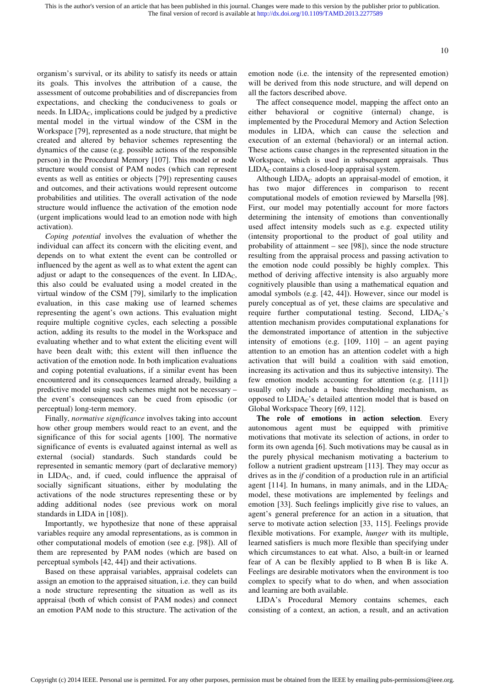organism's survival, or its ability to satisfy its needs or attain its goals. This involves the attribution of a cause, the assessment of outcome probabilities and of discrepancies from expectations, and checking the conduciveness to goals or needs. In  $LIDA<sub>C</sub>$ , implications could be judged by a predictive mental model in the virtual window of the CSM in the Workspace [79], represented as a node structure, that might be created and altered by behavior schemes representing the dynamics of the cause (e.g. possible actions of the responsible person) in the Procedural Memory [107]. This model or node structure would consist of PAM nodes (which can represent events as well as entities or objects [79]) representing causes and outcomes, and their activations would represent outcome probabilities and utilities. The overall activation of the node structure would influence the activation of the emotion node (urgent implications would lead to an emotion node with high activation).

*Coping potential* involves the evaluation of whether the individual can affect its concern with the eliciting event, and depends on to what extent the event can be controlled or influenced by the agent as well as to what extent the agent can adjust or adapt to the consequences of the event. In  $LIDA<sub>C</sub>$ , this also could be evaluated using a model created in the virtual window of the CSM [79], similarly to the implication evaluation, in this case making use of learned schemes representing the agent's own actions. This evaluation might require multiple cognitive cycles, each selecting a possible action, adding its results to the model in the Workspace and evaluating whether and to what extent the eliciting event will have been dealt with; this extent will then influence the activation of the emotion node. In both implication evaluations and coping potential evaluations, if a similar event has been encountered and its consequences learned already, building a predictive model using such schemes might not be necessary – the event's consequences can be cued from episodic (or perceptual) long-term memory.

Finally, *normative significance* involves taking into account how other group members would react to an event, and the significance of this for social agents [100]*.* The normative significance of events is evaluated against internal as well as external (social) standards. Such standards could be represented in semantic memory (part of declarative memory) in LIDA<sub>C</sub>, and, if cued, could influence the appraisal of socially significant situations, either by modulating the activations of the node structures representing these or by adding additional nodes (see previous work on moral standards in LIDA in [108]).

Importantly, we hypothesize that none of these appraisal variables require any amodal representations, as is common in other computational models of emotion (see e.g. [98]). All of them are represented by PAM nodes (which are based on perceptual symbols [42, 44]) and their activations.

Based on these appraisal variables, appraisal codelets can assign an emotion to the appraised situation, i.e. they can build a node structure representing the situation as well as its appraisal (both of which consist of PAM nodes) and connect an emotion PAM node to this structure. The activation of the emotion node (i.e. the intensity of the represented emotion) will be derived from this node structure, and will depend on all the factors described above.

The affect consequence model, mapping the affect onto an either behavioral or cognitive (internal) change, is implemented by the Procedural Memory and Action Selection modules in LIDA, which can cause the selection and execution of an external (behavioral) or an internal action. These actions cause changes in the represented situation in the Workspace, which is used in subsequent appraisals. Thus  $LIDA<sub>C</sub>$  contains a closed-loop appraisal system.

Although  $LIDA_C$  adopts an appraisal-model of emotion, it has two major differences in comparison to recent computational models of emotion reviewed by Marsella [98]. First, our model may potentially account for more factors determining the intensity of emotions than conventionally used affect intensity models such as e.g. expected utility (intensity proportional to the product of goal utility and probability of attainment – see [98]), since the node structure resulting from the appraisal process and passing activation to the emotion node could possibly be highly complex. This method of deriving affective intensity is also arguably more cognitively plausible than using a mathematical equation and amodal symbols (e.g. [42, 44]). However, since our model is purely conceptual as of yet, these claims are speculative and require further computational testing. Second,  $LIDA<sub>C</sub>'s$ attention mechanism provides computational explanations for the demonstrated importance of attention in the subjective intensity of emotions (e.g. [109, 110] – an agent paying attention to an emotion has an attention codelet with a high activation that will build a coalition with said emotion, increasing its activation and thus its subjective intensity). The few emotion models accounting for attention (e.g. [111]) usually only include a basic thresholding mechanism, as opposed to  $LIDA<sub>C</sub>$ 's detailed attention model that is based on Global Workspace Theory [69, 112].

**The role of emotions in action selection**. Every autonomous agent must be equipped with primitive motivations that motivate its selection of actions, in order to form its own agenda [6]. Such motivations may be causal as in the purely physical mechanism motivating a bacterium to follow a nutrient gradient upstream [113]. They may occur as drives as in the *if* condition of a production rule in an artificial agent [114]. In humans, in many animals, and in the  $LIDA_C$ model, these motivations are implemented by feelings and emotion [33]. Such feelings implicitly give rise to values, an agent's general preference for an action in a situation, that serve to motivate action selection [33, 115]. Feelings provide flexible motivations. For example, *hunger* with its multiple, learned satisfiers is much more flexible than specifying under which circumstances to eat what. Also, a built-in or learned fear of A can be flexibly applied to B when B is like A. Feelings are desirable motivators when the environment is too complex to specify what to do when, and when association and learning are both available.

LIDA's Procedural Memory contains schemes, each consisting of a context, an action, a result, and an activation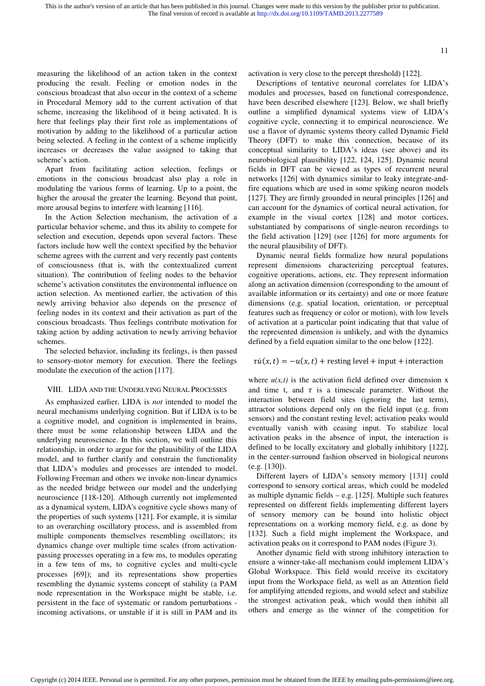measuring the likelihood of an action taken in the context producing the result. Feeling or emotion nodes in the conscious broadcast that also occur in the context of a scheme in Procedural Memory add to the current activation of that scheme, increasing the likelihood of it being activated. It is here that feelings play their first role as implementations of motivation by adding to the likelihood of a particular action being selected. A feeling in the context of a scheme implicitly increases or decreases the value assigned to taking that scheme's action.

Apart from facilitating action selection, feelings or emotions in the conscious broadcast also play a role in modulating the various forms of learning. Up to a point, the higher the arousal the greater the learning. Beyond that point, more arousal begins to interfere with learning [116].

In the Action Selection mechanism, the activation of a particular behavior scheme, and thus its ability to compete for selection and execution, depends upon several factors. These factors include how well the context specified by the behavior scheme agrees with the current and very recently past contents of consciousness (that is, with the contextualized current situation). The contribution of feeling nodes to the behavior scheme's activation constitutes the environmental influence on action selection. As mentioned earlier, the activation of this newly arriving behavior also depends on the presence of feeling nodes in its context and their activation as part of the conscious broadcasts. Thus feelings contribute motivation for taking action by adding activation to newly arriving behavior schemes.

The selected behavior, including its feelings, is then passed to sensory-motor memory for execution. There the feelings modulate the execution of the action [117].

#### VIII. LIDA AND THE UNDERLYING NEURAL PROCESSES

As emphasized earlier, LIDA is *not* intended to model the neural mechanisms underlying cognition. But if LIDA is to be a cognitive model, and cognition is implemented in brains, there must be some relationship between LIDA and the underlying neuroscience. In this section, we will outline this relationship, in order to argue for the plausibility of the LIDA model, and to further clarify and constrain the functionality that LIDA's modules and processes are intended to model. Following Freeman and others we invoke non-linear dynamics as the needed bridge between our model and the underlying neuroscience [118-120]. Although currently not implemented as a dynamical system, LIDA's cognitive cycle shows many of the properties of such systems [121]. For example, it is similar to an overarching oscillatory process, and is assembled from multiple components themselves resembling oscillators; its dynamics change over multiple time scales (from activationpassing processes operating in a few ms, to modules operating in a few tens of ms, to cognitive cycles and multi-cycle processes [69]); and its representations show properties resembling the dynamic systems concept of stability (a PAM node representation in the Workspace might be stable, i.e. persistent in the face of systematic or random perturbations incoming activations, or unstable if it is still in PAM and its activation is very close to the percept threshold) [122].

Descriptions of tentative neuronal correlates for LIDA's modules and processes, based on functional correspondence, have been described elsewhere [123]. Below, we shall briefly outline a simplified dynamical systems view of LIDA's cognitive cycle, connecting it to empirical neuroscience. We use a flavor of dynamic systems theory called Dynamic Field Theory (DFT) to make this connection, because of its conceptual similarity to LIDA's ideas (see above) and its neurobiological plausibility [122, 124, 125]. Dynamic neural fields in DFT can be viewed as types of recurrent neural networks [126] with dynamics similar to leaky integrate-andfire equations which are used in some spiking neuron models [127]. They are firmly grounded in neural principles [126] and can account for the dynamics of cortical neural activation, for example in the visual cortex [128] and motor cortices, substantiated by comparisons of single-neuron recordings to the field activation [129] (see [126] for more arguments for the neural plausibility of DFT).

Dynamic neural fields formalize how neural populations represent dimensions characterizing perceptual features, cognitive operations, actions, etc. They represent information along an activation dimension (corresponding to the amount of available information or its certainty) and one or more feature dimensions (e.g. spatial location, orientation, or perceptual features such as frequency or color or motion), with low levels of activation at a particular point indicating that that value of the represented dimension is unlikely, and with the dynamics defined by a field equation similar to the one below [122].

#### $\tau \dot{u}(x,t) = -u(x,t) + \text{resting level} + \text{input} + \text{interaction}$

where  $u(x,t)$  is the activation field defined over dimension x and time t, and  $\tau$  is a timescale parameter. Without the interaction between field sites (ignoring the last term), attractor solutions depend only on the field input (e.g. from sensors) and the constant resting level; activation peaks would eventually vanish with ceasing input. To stabilize local activation peaks in the absence of input, the interaction is defined to be locally excitatory and globally inhibitory [122], in the center-surround fashion observed in biological neurons (e.g. [130]).

Different layers of LIDA's sensory memory [131] could correspond to sensory cortical areas, which could be modeled as multiple dynamic fields – e.g. [125]. Multiple such features represented on different fields implementing different layers of sensory memory can be bound into holistic object representations on a working memory field, e.g. as done by [132]. Such a field might implement the Workspace, and activation peaks on it correspond to PAM nodes (Figure 3).

Another dynamic field with strong inhibitory interaction to ensure a winner-take-all mechanism could implement LIDA's Global Workspace. This field would receive its excitatory input from the Workspace field, as well as an Attention field for amplifying attended regions, and would select and stabilize the strongest activation peak, which would then inhibit all others and emerge as the winner of the competition for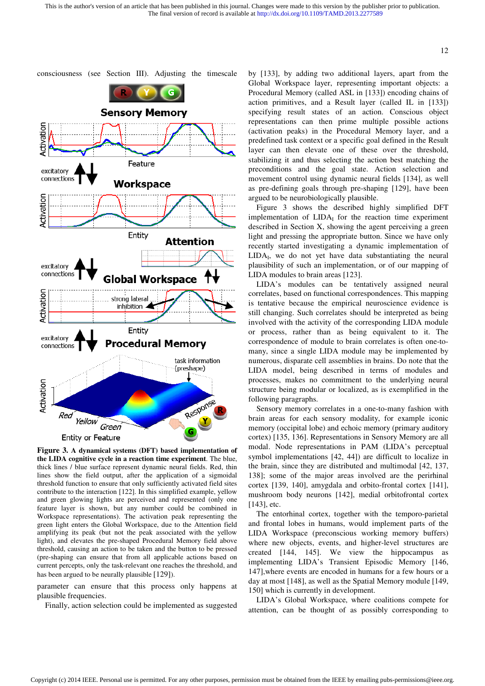

**Figure 3. A dynamical systems (DFT) based implementation of the LIDA cognitive cycle in a reaction time experiment**. The blue, thick lines / blue surface represent dynamic neural fields. Red, thin lines show the field output, after the application of a sigmoidal threshold function to ensure that only sufficiently activated field sites contribute to the interaction [122]. In this simplified example, yellow and green glowing lights are perceived and represented (only one feature layer is shown, but any number could be combined in Workspace representations). The activation peak representing the green light enters the Global Workspace, due to the Attention field amplifying its peak (but not the peak associated with the yellow light), and elevates the pre-shaped Procedural Memory field above threshold, causing an action to be taken and the button to be pressed (pre-shaping can ensure that from all applicable actions based on current percepts, only the task-relevant one reaches the threshold, and has been argued to be neurally plausible [129]).

parameter can ensure that this process only happens at plausible frequencies.

Finally, action selection could be implemented as suggested

by [133], by adding two additional layers, apart from the Global Workspace layer, representing important objects: a Procedural Memory (called ASL in [133]) encoding chains of action primitives, and a Result layer (called IL in [133]) specifying result states of an action. Conscious object representations can then prime multiple possible actions (activation peaks) in the Procedural Memory layer, and a predefined task context or a specific goal defined in the Result layer can then elevate one of these over the threshold, stabilizing it and thus selecting the action best matching the preconditions and the goal state. Action selection and movement control using dynamic neural fields [134], as well as pre-defining goals through pre-shaping [129], have been argued to be neurobiologically plausible.

Figure 3 shows the described highly simplified DFT implementation of LIDA<sub>I</sub> for the reaction time experiment described in Section X, showing the agent perceiving a green light and pressing the appropriate button. Since we have only recently started investigating a dynamic implementation of  $LIDA<sub>I</sub>$ , we do not yet have data substantiating the neural plausibility of such an implementation, or of our mapping of LIDA modules to brain areas [123].

LIDA's modules can be tentatively assigned neural correlates, based on functional correspondences. This mapping is tentative because the empirical neuroscience evidence is still changing. Such correlates should be interpreted as being involved with the activity of the corresponding LIDA module or process, rather than as being equivalent to it. The correspondence of module to brain correlates is often one-tomany, since a single LIDA module may be implemented by numerous, disparate cell assemblies in brains. Do note that the LIDA model, being described in terms of modules and processes, makes no commitment to the underlying neural structure being modular or localized, as is exemplified in the following paragraphs.

Sensory memory correlates in a one-to-many fashion with brain areas for each sensory modality, for example iconic memory (occipital lobe) and echoic memory (primary auditory cortex) [135, 136]. Representations in Sensory Memory are all modal. Node representations in PAM (LIDA's perceptual symbol implementations [42, 44]) are difficult to localize in the brain, since they are distributed and multimodal [42, 137, 138]; some of the major areas involved are the perirhinal cortex [139, 140], amygdala and orbito-frontal cortex [141], mushroom body neurons [142], medial orbitofrontal cortex [143], etc.

The entorhinal cortex, together with the temporo-parietal and frontal lobes in humans, would implement parts of the LIDA Workspace (preconscious working memory buffers) where new objects, events, and higher-level structures are created [144, 145]. We view the hippocampus as implementing LIDA's Transient Episodic Memory [146, 147],where events are encoded in humans for a few hours or a day at most [148], as well as the Spatial Memory module [149, 150] which is currently in development.

LIDA's Global Workspace, where coalitions compete for attention, can be thought of as possibly corresponding to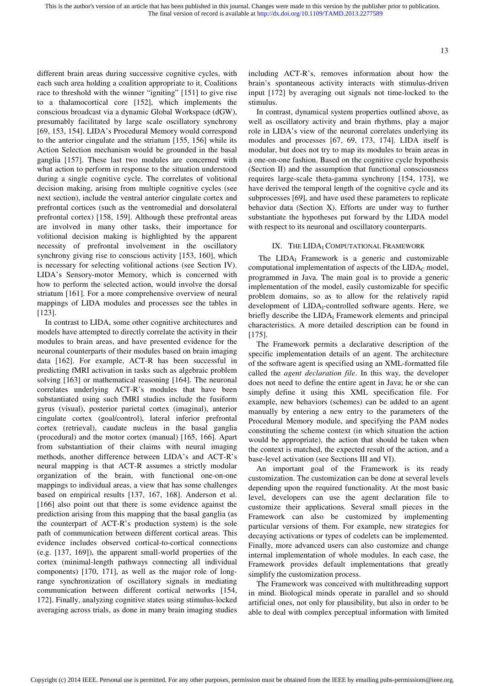different brain areas during successive cognitive cycles, with each such area holding a coalition appropriate to it, Coalitions race to threshold with the winner "igniting" [151] to give rise to a thalamocortical core [152], which implements the conscious broadcast via a dynamic Global Workspace (dGW), presumably facilitated by large scale oscillatory synchrony [69, 153, 154]. LIDA's Procedural Memory would correspond to the anterior cingulate and the striatum [155, 156] while its Action Selection mechanism would be grounded in the basal ganglia [157]. These last two modules are concerned with what action to perform in response to the situation understood during a single cognitive cycle. The correlates of volitional decision making, arising from multiple cognitive cycles (see next section), include the ventral anterior cingulate cortex and prefrontal cortices (such as the ventromedial and dorsolateral prefrontal cortex) [158, 159]. Although these prefrontal areas are involved in many other tasks, their importance for volitional decision making is highlighted by the apparent necessity of prefrontal involvement in the oscillatory synchrony giving rise to conscious activity [153, 160], which is necessary for selecting volitional actions (see Section IV). LIDA's Sensory-motor Memory, which is concerned with how to perform the selected action, would involve the dorsal striatum [161]. For a more comprehensive overview of neural mappings of LIDA modules and processes see the tables in [123].

In contrast to LIDA, some other cognitive architectures and models have attempted to directly correlate the activity in their modules to brain areas, and have presented evidence for the neuronal counterparts of their modules based on brain imaging data [162]. For example, ACT-R has been successful in predicting fMRI activation in tasks such as algebraic problem solving [163] or mathematical reasoning [164]. The neuronal correlates underlying ACT-R's modules that have been substantiated using such fMRI studies include the fusiform gyrus (visual), posterior parietal cortex (imaginal), anterior cingulate cortex (goal/control), lateral inferior prefrontal cortex (retrieval), caudate nucleus in the basal ganglia (procedural) and the motor cortex (manual) [165, 166]. Apart from substantiation of their claims with neural imaging methods, another difference between LIDA's and ACT-R's neural mapping is that ACT-R assumes a strictly modular organization of the brain, with functional one-on-one mappings to individual areas, a view that has some challenges based on empirical results [137, 167, 168]. Anderson et al. [166] also point out that there is some evidence against the prediction arising from this mapping that the basal ganglia (as the counterpart of ACT-R's production system) is the sole path of communication between different cortical areas. This evidence includes observed cortical-to-cortical connections (e.g. [137, 169]), the apparent small-world properties of the cortex (minimal-length pathways connecting all individual components) [170, 171], as well as the major role of longrange synchronization of oscillatory signals in mediating communication between different cortical networks [154, 172]. Finally, analyzing cognitive states using stimulus-locked averaging across trials, as done in many brain imaging studies

including ACT-R's, removes information about how the brain's spontaneous activity interacts with stimulus-driven input [172] by averaging out signals not time-locked to the stimulus.

In contrast, dynamical system properties outlined above, as well as oscillatory activity and brain rhythms, play a major role in LIDA's view of the neuronal correlates underlying its modules and processes [67, 69, 173, 174]. LIDA itself is modular, but does not try to map its modules to brain areas in a one-on-one fashion. Based on the cognitive cycle hypothesis (Section II) and the assumption that functional consciousness requires large-scale theta-gamma synchrony [154, 173], we have derived the temporal length of the cognitive cycle and its subprocesses [69], and have used these parameters to replicate behavior data (Section X). Efforts are under way to further substantiate the hypotheses put forward by the LIDA model with respect to its neuronal and oscillatory counterparts.

# IX. THE LIDAI COMPUTATIONAL FRAMEWORK

The  $LIDA<sub>I</sub>$  Framework is a generic and customizable computational implementation of aspects of the  $LIDA<sub>C</sub>$  model, programmed in Java. The main goal is to provide a generic implementation of the model, easily customizable for specific problem domains, so as to allow for the relatively rapid development of LIDA<sub>I</sub>-controlled software agents. Here, we briefly describe the LIDA<sub>I</sub> Framework elements and principal characteristics. A more detailed description can be found in [175].

The Framework permits a declarative description of the specific implementation details of an agent. The architecture of the software agent is specified using an XML-formatted file called the *agent declaration file*. In this way, the developer does not need to define the entire agent in Java; he or she can simply define it using this XML specification file. For example, new behaviors (schemes) can be added to an agent manually by entering a new entry to the parameters of the Procedural Memory module, and specifying the PAM nodes constituting the scheme context (in which situation the action would be appropriate), the action that should be taken when the context is matched, the expected result of the action, and a base-level activation (see Sections III and VI).

An important goal of the Framework is its ready customization. The customization can be done at several levels depending upon the required functionality. At the most basic level, developers can use the agent declaration file to customize their applications. Several small pieces in the Framework can also be customized by implementing particular versions of them. For example, new strategies for decaying activations or types of codelets can be implemented. Finally, more advanced users can also customize and change internal implementation of whole modules. In each case, the Framework provides default implementations that greatly simplify the customization process.

The Framework was conceived with multithreading support in mind. Biological minds operate in parallel and so should artificial ones, not only for plausibility, but also in order to be able to deal with complex perceptual information with limited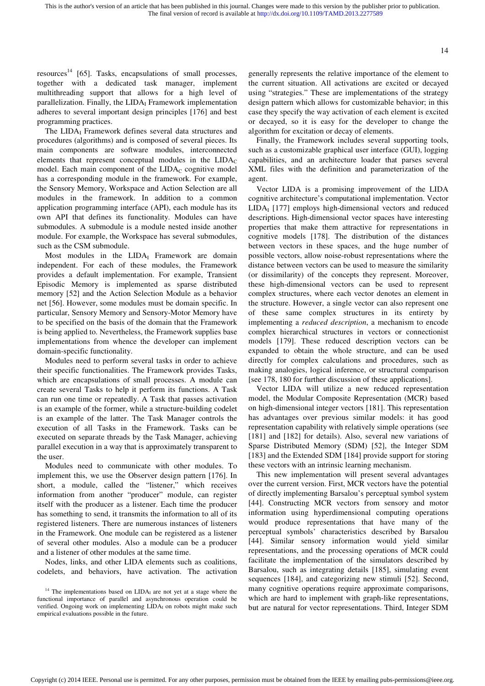$resources<sup>14</sup>$  [65]. Tasks, encapsulations of small processes, together with a dedicated task manager, implement multithreading support that allows for a high level of parallelization. Finally, the LIDA<sub>I</sub> Framework implementation adheres to several important design principles [176] and best programming practices.

The LIDA<sub>I</sub> Framework defines several data structures and procedures (algorithms) and is composed of several pieces. Its main components are software modules, interconnected elements that represent conceptual modules in the  $LIDA<sub>C</sub>$ model. Each main component of the  $LIDA_C$  cognitive model has a corresponding module in the framework. For example, the Sensory Memory, Workspace and Action Selection are all modules in the framework. In addition to a common application programming interface (API), each module has its own API that defines its functionality. Modules can have submodules. A submodule is a module nested inside another module. For example, the Workspace has several submodules, such as the CSM submodule.

Most modules in the  $LIDA<sub>I</sub>$  Framework are domain independent. For each of these modules, the Framework provides a default implementation. For example, Transient Episodic Memory is implemented as sparse distributed memory [52] and the Action Selection Module as a behavior net [56]. However, some modules must be domain specific. In particular, Sensory Memory and Sensory-Motor Memory have to be specified on the basis of the domain that the Framework is being applied to. Nevertheless, the Framework supplies base implementations from whence the developer can implement domain-specific functionality.

Modules need to perform several tasks in order to achieve their specific functionalities. The Framework provides Tasks, which are encapsulations of small processes. A module can create several Tasks to help it perform its functions. A Task can run one time or repeatedly. A Task that passes activation is an example of the former, while a structure-building codelet is an example of the latter. The Task Manager controls the execution of all Tasks in the Framework. Tasks can be executed on separate threads by the Task Manager, achieving parallel execution in a way that is approximately transparent to the user.

Modules need to communicate with other modules. To implement this, we use the Observer design pattern [176]. In short, a module, called the "listener," which receives information from another "producer" module, can register itself with the producer as a listener. Each time the producer has something to send, it transmits the information to all of its registered listeners. There are numerous instances of listeners in the Framework. One module can be registered as a listener of several other modules. Also a module can be a producer and a listener of other modules at the same time.

Nodes, links, and other LIDA elements such as coalitions, codelets, and behaviors, have activation. The activation

generally represents the relative importance of the element to the current situation. All activations are excited or decayed using "strategies." These are implementations of the strategy design pattern which allows for customizable behavior; in this case they specify the way activation of each element is excited or decayed, so it is easy for the developer to change the algorithm for excitation or decay of elements.

Finally, the Framework includes several supporting tools, such as a customizable graphical user interface (GUI), logging capabilities, and an architecture loader that parses several XML files with the definition and parameterization of the agent.

Vector LIDA is a promising improvement of the LIDA cognitive architecture's computational implementation. Vector  $LIDA<sub>I</sub>$  [177] employs high-dimensional vectors and reduced descriptions. High-dimensional vector spaces have interesting properties that make them attractive for representations in cognitive models [178]. The distribution of the distances between vectors in these spaces, and the huge number of possible vectors, allow noise-robust representations where the distance between vectors can be used to measure the similarity (or dissimilarity) of the concepts they represent. Moreover, these high-dimensional vectors can be used to represent complex structures, where each vector denotes an element in the structure. However, a single vector can also represent one of these same complex structures in its entirety by implementing a *reduced description*, a mechanism to encode complex hierarchical structures in vectors or connectionist models [179]. These reduced description vectors can be expanded to obtain the whole structure, and can be used directly for complex calculations and procedures, such as making analogies, logical inference, or structural comparison [see 178, 180 for further discussion of these applications].

Vector LIDA will utilize a new reduced representation model, the Modular Composite Representation (MCR) based on high-dimensional integer vectors [181]. This representation has advantages over previous similar models: it has good representation capability with relatively simple operations (see [181] and [182] for details). Also, several new variations of Sparse Distributed Memory (SDM) [52], the Integer SDM [183] and the Extended SDM [184] provide support for storing these vectors with an intrinsic learning mechanism.

This new implementation will present several advantages over the current version. First, MCR vectors have the potential of directly implementing Barsalou's perceptual symbol system [44]. Constructing MCR vectors from sensory and motor information using hyperdimensional computing operations would produce representations that have many of the perceptual symbols' characteristics described by Barsalou [44]. Similar sensory information would yield similar representations, and the processing operations of MCR could facilitate the implementation of the simulators described by Barsalou, such as integrating details [185], simulating event sequences [184], and categorizing new stimuli [52]. Second, many cognitive operations require approximate comparisons, which are hard to implement with graph-like representations, but are natural for vector representations. Third, Integer SDM

 $14$  The implementations based on LIDA<sub>I</sub> are not yet at a stage where the functional importance of parallel and asynchronous operation could be verified. Ongoing work on implementing LIDA<sub>I</sub> on robots might make such empirical evaluations possible in the future.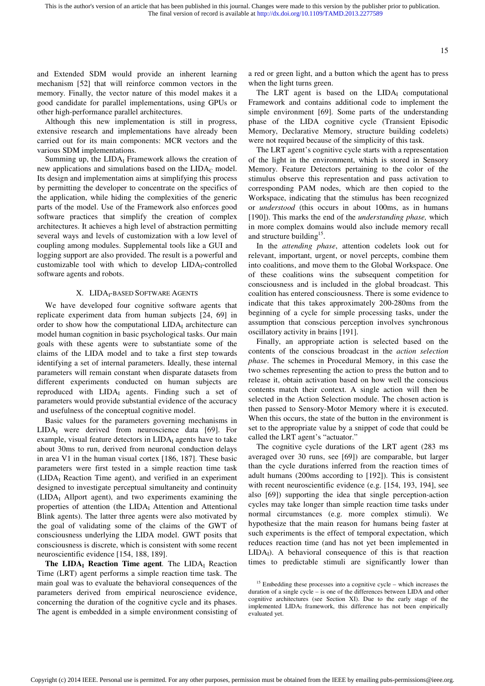and Extended SDM would provide an inherent learning mechanism [52] that will reinforce common vectors in the memory. Finally, the vector nature of this model makes it a good candidate for parallel implementations, using GPUs or other high-performance parallel architectures.

Although this new implementation is still in progress, extensive research and implementations have already been carried out for its main components: MCR vectors and the various SDM implementations.

Summing up, the  $LIDA<sub>I</sub>$  Framework allows the creation of new applications and simulations based on the  $LIDA<sub>C</sub>$  model. Its design and implementation aims at simplifying this process by permitting the developer to concentrate on the specifics of the application, while hiding the complexities of the generic parts of the model. Use of the Framework also enforces good software practices that simplify the creation of complex architectures. It achieves a high level of abstraction permitting several ways and levels of customization with a low level of coupling among modules. Supplemental tools like a GUI and logging support are also provided. The result is a powerful and customizable tool with which to develop  $LIDA_1$ -controlled software agents and robots.

#### X. LIDA<sub>I</sub>-BASED SOFTWARE AGENTS

We have developed four cognitive software agents that replicate experiment data from human subjects [24, 69] in order to show how the computational  $LIDA<sub>I</sub>$  architecture can model human cognition in basic psychological tasks. Our main goals with these agents were to substantiate some of the claims of the LIDA model and to take a first step towards identifying a set of internal parameters. Ideally, these internal parameters will remain constant when disparate datasets from different experiments conducted on human subjects are reproduced with  $LIDA<sub>I</sub>$  agents. Finding such a set of parameters would provide substantial evidence of the accuracy and usefulness of the conceptual cognitive model.

Basic values for the parameters governing mechanisms in  $LIDA<sub>I</sub>$  were derived from neuroscience data [69]. For example, visual feature detectors in LIDA<sub>I</sub> agents have to take about 30ms to run, derived from neuronal conduction delays in area V1 in the human visual cortex [186, 187]. These basic parameters were first tested in a simple reaction time task  $(LIDA<sub>I</sub>$  Reaction Time agent), and verified in an experiment designed to investigate perceptual simultaneity and continuity  $(LIDA<sub>I</sub>$  Allport agent), and two experiments examining the properties of attention (the LIDA<sub>I</sub> Attention and Attentional Blink agents). The latter three agents were also motivated by the goal of validating some of the claims of the GWT of consciousness underlying the LIDA model. GWT posits that consciousness is discrete, which is consistent with some recent neuroscientific evidence [154, 188, 189].

**The LIDA<sub>I</sub> Reaction Time agent**. The LIDA<sub>I</sub> Reaction Time (LRT) agent performs a simple reaction time task. The main goal was to evaluate the behavioral consequences of the parameters derived from empirical neuroscience evidence, concerning the duration of the cognitive cycle and its phases. The agent is embedded in a simple environment consisting of

a red or green light, and a button which the agent has to press when the light turns green.

The LRT agent is based on the  $LIDA<sub>I</sub>$  computational Framework and contains additional code to implement the simple environment [69]. Some parts of the understanding phase of the LIDA cognitive cycle (Transient Episodic Memory, Declarative Memory, structure building codelets) were not required because of the simplicity of this task.

The LRT agent's cognitive cycle starts with a representation of the light in the environment, which is stored in Sensory Memory. Feature Detectors pertaining to the color of the stimulus observe this representation and pass activation to corresponding PAM nodes, which are then copied to the Workspace, indicating that the stimulus has been recognized or *understood* (this occurs in about 100ms, as in humans [190]). This marks the end of the *understanding phase,* which in more complex domains would also include memory recall and structure building<sup>15</sup>.

In the *attending phase*, attention codelets look out for relevant, important, urgent, or novel percepts, combine them into coalitions, and move them to the Global Workspace. One of these coalitions wins the subsequent competition for consciousness and is included in the global broadcast. This coalition has entered consciousness. There is some evidence to indicate that this takes approximately 200-280ms from the beginning of a cycle for simple processing tasks, under the assumption that conscious perception involves synchronous oscillatory activity in brains [191].

Finally, an appropriate action is selected based on the contents of the conscious broadcast in the *action selection phase*. The schemes in Procedural Memory, in this case the two schemes representing the action to press the button and to release it, obtain activation based on how well the conscious contents match their context. A single action will then be selected in the Action Selection module. The chosen action is then passed to Sensory-Motor Memory where it is executed. When this occurs, the state of the button in the environment is set to the appropriate value by a snippet of code that could be called the LRT agent's "actuator."

The cognitive cycle durations of the LRT agent (283 ms averaged over 30 runs, see [69]) are comparable, but larger than the cycle durations inferred from the reaction times of adult humans (200ms according to [192]). This is consistent with recent neuroscientific evidence (e.g. [154, 193, 194], see also [69]) supporting the idea that single perception-action cycles may take longer than simple reaction time tasks under normal circumstances (e.g. more complex stimuli). We hypothesize that the main reason for humans being faster at such experiments is the effect of temporal expectation, which reduces reaction time (and has not yet been implemented in  $LIDA<sub>I</sub>$ ). A behavioral consequence of this is that reaction times to predictable stimuli are significantly lower than

<sup>&</sup>lt;sup>15</sup> Embedding these processes into a cognitive cycle – which increases the duration of a single cycle – is one of the differences between LIDA and other cognitive architectures (see Section XI). Due to the early stage of the implemented LIDA<sub>I</sub> framework, this difference has not been empirically evaluated yet.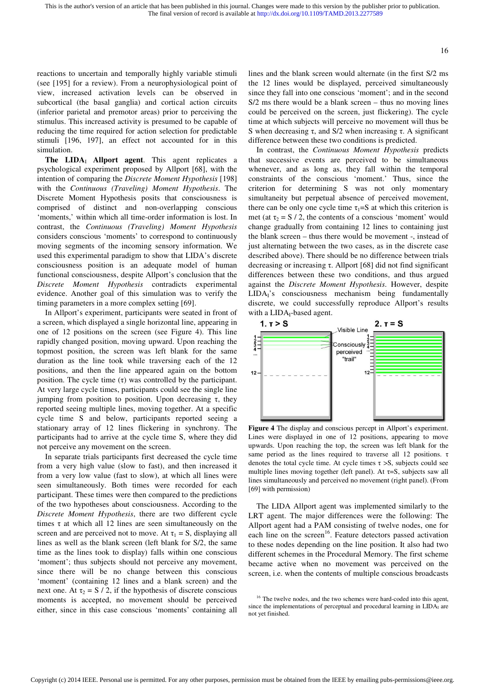reactions to uncertain and temporally highly variable stimuli (see [195] for a review). From a neurophysiological point of view, increased activation levels can be observed in subcortical (the basal ganglia) and cortical action circuits (inferior parietal and premotor areas) prior to perceiving the stimulus. This increased activity is presumed to be capable of reducing the time required for action selection for predictable stimuli [196, 197], an effect not accounted for in this simulation.

**The LIDA**<sup>I</sup>  **Allport agent**. This agent replicates a psychological experiment proposed by Allport [68], with the intention of comparing the *Discrete Moment Hypothesis* [198] with the *Continuous (Traveling) Moment Hypothesis*. The Discrete Moment Hypothesis posits that consciousness is comprised of distinct and non-overlapping conscious 'moments,' within which all time-order information is lost. In contrast, the *Continuous (Traveling) Moment Hypothesis* considers conscious 'moments' to correspond to continuously moving segments of the incoming sensory information. We used this experimental paradigm to show that LIDA's discrete consciousness position is an adequate model of human functional consciousness, despite Allport's conclusion that the *Discrete Moment Hypothesis* contradicts experimental evidence. Another goal of this simulation was to verify the timing parameters in a more complex setting [69].

In Allport's experiment, participants were seated in front of a screen, which displayed a single horizontal line, appearing in one of 12 positions on the screen (see Figure 4). This line rapidly changed position, moving upward. Upon reaching the topmost position, the screen was left blank for the same duration as the line took while traversing each of the 12 positions, and then the line appeared again on the bottom position. The cycle time  $(\tau)$  was controlled by the participant. At very large cycle times, participants could see the single line jumping from position to position. Upon decreasing τ, they reported seeing multiple lines, moving together. At a specific cycle time S and below, participants reported seeing a stationary array of 12 lines flickering in synchrony. The participants had to arrive at the cycle time S, where they did not perceive any movement on the screen.

In separate trials participants first decreased the cycle time from a very high value (slow to fast), and then increased it from a very low value (fast to slow), at which all lines were seen simultaneously. Both times were recorded for each participant. These times were then compared to the predictions of the two hypotheses about consciousness. According to the *Discrete Moment Hypothesis*, there are two different cycle times  $\tau$  at which all 12 lines are seen simultaneously on the screen and are perceived not to move. At  $\tau_1 = S$ , displaying all lines as well as the blank screen (left blank for S/2, the same time as the lines took to display) falls within one conscious 'moment'; thus subjects should not perceive any movement, since there will be no change between this conscious 'moment' (containing 12 lines and a blank screen) and the next one. At  $\tau_2 = S / 2$ , if the hypothesis of discrete conscious moments is accepted, no movement should be perceived either, since in this case conscious 'moments' containing all

lines and the blank screen would alternate (in the first S/2 ms the 12 lines would be displayed, perceived simultaneously since they fall into one conscious 'moment'; and in the second S/2 ms there would be a blank screen – thus no moving lines could be perceived on the screen, just flickering). The cycle time at which subjects will perceive no movement will thus be S when decreasing τ, and S/2 when increasing τ. A significant difference between these two conditions is predicted.

In contrast, the *Continuous Moment Hypothesis* predicts that successive events are perceived to be simultaneous whenever, and as long as, they fall within the temporal constraints of the conscious 'moment.' Thus, since the criterion for determining S was not only momentary simultaneity but perpetual absence of perceived movement, there can be only one cycle time  $\tau_1 = S$  at which this criterion is met (at  $\tau_2 = S / 2$ , the contents of a conscious 'moment' would change gradually from containing 12 lines to containing just the blank screen – thus there would be movement -, instead of just alternating between the two cases, as in the discrete case described above). There should be no difference between trials decreasing or increasing τ. Allport [68] did not find significant differences between these two conditions, and thus argued against the *Discrete Moment Hypothesis*. However, despite  $LIDA<sub>I</sub>'s$  consciousness mechanism being fundamentally discrete, we could successfully reproduce Allport's results with a  $LIDA<sub>I</sub>$ -based agent.



**Figure 4** The display and conscious percept in Allport's experiment. Lines were displayed in one of 12 positions, appearing to move upwards. Upon reaching the top, the screen was left blank for the same period as the lines required to traverse all 12 positions. τ denotes the total cycle time. At cycle times  $\tau > S$ , subjects could see multiple lines moving together (left panel). At  $\tau = S$ , subjects saw all lines simultaneously and perceived no movement (right panel). (From [69] with permission)

The LIDA Allport agent was implemented similarly to the LRT agent. The major differences were the following: The Allport agent had a PAM consisting of twelve nodes, one for each line on the screen<sup>16</sup>. Feature detectors passed activation to these nodes depending on the line position. It also had two different schemes in the Procedural Memory. The first scheme became active when no movement was perceived on the screen, i.e. when the contents of multiple conscious broadcasts

<sup>&</sup>lt;sup>16</sup> The twelve nodes, and the two schemes were hard-coded into this agent, since the implementations of perceptual and procedural learning in  $LIDA<sub>I</sub>$  are not yet finished.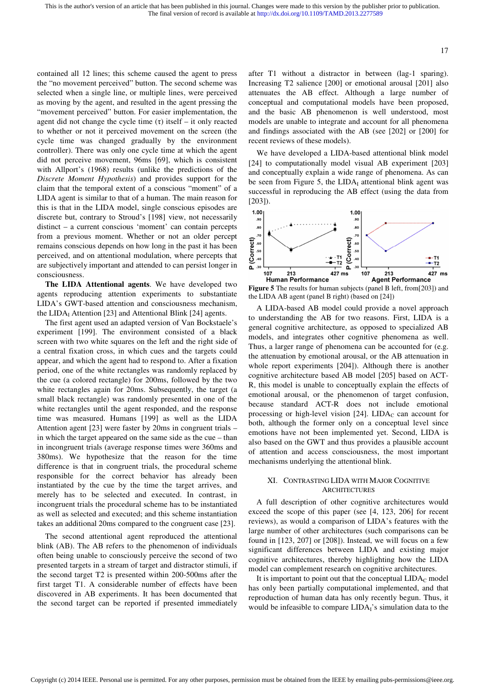contained all 12 lines; this scheme caused the agent to press the "no movement perceived" button. The second scheme was selected when a single line, or multiple lines, were perceived as moving by the agent, and resulted in the agent pressing the "movement perceived" button. For easier implementation, the agent did not change the cycle time  $(\tau)$  itself – it only reacted to whether or not it perceived movement on the screen (the cycle time was changed gradually by the environment controller). There was only one cycle time at which the agent did not perceive movement, 96ms [69], which is consistent with Allport's (1968) results (unlike the predictions of the *Discrete Moment Hypothesis*) and provides support for the claim that the temporal extent of a conscious "moment" of a LIDA agent is similar to that of a human. The main reason for this is that in the LIDA model, single conscious episodes are discrete but, contrary to Stroud's [198] view, not necessarily distinct – a current conscious 'moment' can contain percepts from a previous moment. Whether or not an older percept remains conscious depends on how long in the past it has been perceived, and on attentional modulation, where percepts that are subjectively important and attended to can persist longer in consciousness.

**The LIDA Attentional agents**. We have developed two agents reproducing attention experiments to substantiate LIDA's GWT-based attention and consciousness mechanism, the  $LIDA<sub>I</sub>$  Attention [23] and Attentional Blink [24] agents.

The first agent used an adapted version of Van Bockstaele's experiment [199]. The environment consisted of a black screen with two white squares on the left and the right side of a central fixation cross, in which cues and the targets could appear, and which the agent had to respond to. After a fixation period, one of the white rectangles was randomly replaced by the cue (a colored rectangle) for 200ms, followed by the two white rectangles again for 20ms. Subsequently, the target (a small black rectangle) was randomly presented in one of the white rectangles until the agent responded, and the response time was measured. Humans [199] as well as the LIDA Attention agent [23] were faster by 20ms in congruent trials – in which the target appeared on the same side as the cue – than in incongruent trials (average response times were 360ms and 380ms). We hypothesize that the reason for the time difference is that in congruent trials, the procedural scheme responsible for the correct behavior has already been instantiated by the cue by the time the target arrives, and merely has to be selected and executed. In contrast, in incongruent trials the procedural scheme has to be instantiated as well as selected and executed; and this scheme instantiation takes an additional 20ms compared to the congruent case [23].

The second attentional agent reproduced the attentional blink (AB). The AB refers to the phenomenon of individuals often being unable to consciously perceive the second of two presented targets in a stream of target and distractor stimuli, if the second target T2 is presented within 200-500ms after the first target T1. A considerable number of effects have been discovered in AB experiments. It has been documented that the second target can be reported if presented immediately

after T1 without a distractor in between (lag-1 sparing). Increasing T2 salience [200] or emotional arousal [201] also attenuates the AB effect. Although a large number of conceptual and computational models have been proposed, and the basic AB phenomenon is well understood, most models are unable to integrate and account for all phenomena and findings associated with the AB (see [202] or [200] for recent reviews of these models).

We have developed a LIDA-based attentional blink model [24] to computationally model visual AB experiment [203] and conceptually explain a wide range of phenomena. As can be seen from Figure 5, the  $LIDA<sub>I</sub>$  attentional blink agent was successful in reproducing the AB effect (using the data from [203]).



**Figure 5** The results for human subjects (panel B left, from[203]) and the LIDA AB agent (panel B right) (based on [24])

A LIDA-based AB model could provide a novel approach to understanding the AB for two reasons. First, LIDA is a general cognitive architecture, as opposed to specialized AB models, and integrates other cognitive phenomena as well. Thus, a larger range of phenomena can be accounted for (e.g. the attenuation by emotional arousal, or the AB attenuation in whole report experiments [204]). Although there is another cognitive architecture based AB model [205] based on ACT-R, this model is unable to conceptually explain the effects of emotional arousal, or the phenomenon of target confusion, because standard ACT-R does not include emotional processing or high-level vision  $[24]$ . LIDA<sub>C</sub> can account for both, although the former only on a conceptual level since emotions have not been implemented yet. Second, LIDA is also based on the GWT and thus provides a plausible account of attention and access consciousness, the most important mechanisms underlying the attentional blink.

# XI. CONTRASTING LIDA WITH MAJOR COGNITIVE **ARCHITECTURES**

A full description of other cognitive architectures would exceed the scope of this paper (see [4, 123, 206] for recent reviews), as would a comparison of LIDA's features with the large number of other architectures (such comparisons can be found in [123, 207] or [208]). Instead, we will focus on a few significant differences between LIDA and existing major cognitive architectures, thereby highlighting how the LIDA model can complement research on cognitive architectures.

It is important to point out that the conceptual  $LIDA<sub>c</sub>$  model has only been partially computational implemented, and that reproduction of human data has only recently begun. Thus, it would be infeasible to compare LIDA<sub>I</sub>'s simulation data to the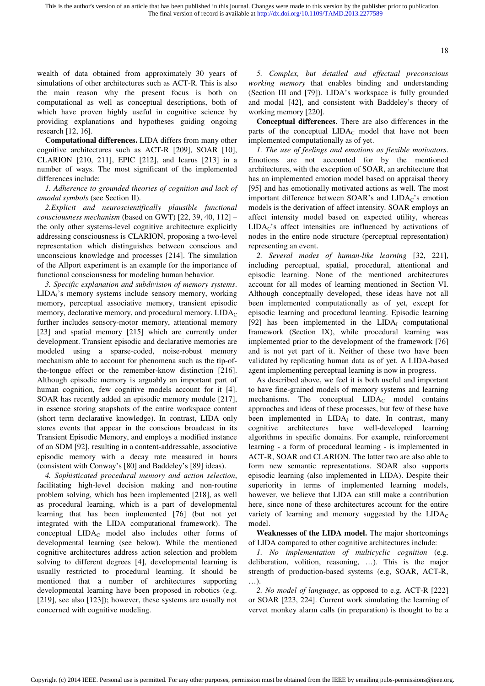wealth of data obtained from approximately 30 years of simulations of other architectures such as ACT-R. This is also the main reason why the present focus is both on computational as well as conceptual descriptions, both of which have proven highly useful in cognitive science by providing explanations and hypotheses guiding ongoing research [12, 16].

**Computational differences.** LIDA differs from many other cognitive architectures such as ACT-R [209], SOAR [10], CLARION [210, 211], EPIC [212], and Icarus [213] in a number of ways. The most significant of the implemented differences include:

*1. Adherence to grounded theories of cognition and lack of amodal symbols* (see Section II).

*2.Explicit and neuroscientifically plausible functional consciousness mechanism* (based on GWT) [22, 39, 40, 112] – the only other systems-level cognitive architecture explicitly addressing consciousness is CLARION, proposing a two-level representation which distinguishes between conscious and unconscious knowledge and processes [214]. The simulation of the Allport experiment is an example for the importance of functional consciousness for modeling human behavior.

*3. Specific explanation and subdivision of memory systems*.  $LIDA<sub>I</sub>'s$  memory systems include sensory memory, working memory, perceptual associative memory, transient episodic memory, declarative memory, and procedural memory.  $LIDA<sub>C</sub>$ further includes sensory-motor memory, attentional memory [23] and spatial memory [215] which are currently under development. Transient episodic and declarative memories are modeled using a sparse-coded, noise-robust memory mechanism able to account for phenomena such as the tip-ofthe-tongue effect or the remember-know distinction [216]. Although episodic memory is arguably an important part of human cognition, few cognitive models account for it [4]. SOAR has recently added an episodic memory module [217], in essence storing snapshots of the entire workspace content (short term declarative knowledge). In contrast, LIDA only stores events that appear in the conscious broadcast in its Transient Episodic Memory, and employs a modified instance of an SDM [92], resulting in a content-addressable, associative episodic memory with a decay rate measured in hours (consistent with Conway's [80] and Baddeley's [89] ideas).

*4. Sophisticated procedural memory and action selection*, facilitating high-level decision making and non-routine problem solving, which has been implemented [218], as well as procedural learning, which is a part of developmental learning that has been implemented [76] (but not yet integrated with the LIDA computational framework). The conceptual  $LIDA<sub>C</sub>$  model also includes other forms of developmental learning (see below). While the mentioned cognitive architectures address action selection and problem solving to different degrees [4], developmental learning is usually restricted to procedural learning. It should be mentioned that a number of architectures supporting developmental learning have been proposed in robotics (e.g. [219], see also [123]); however, these systems are usually not concerned with cognitive modeling.

*5. Complex, but detailed and effectual preconscious working memory* that enables binding and understanding (Section III and [79]). LIDA's workspace is fully grounded and modal [42], and consistent with Baddeley's theory of working memory [220].

**Conceptual differences**. There are also differences in the parts of the conceptual LIDA<sub>C</sub> model that have not been implemented computationally as of yet.

*1. The use of feelings and emotions as flexible motivators*. Emotions are not accounted for by the mentioned architectures, with the exception of SOAR, an architecture that has an implemented emotion model based on appraisal theory [95] and has emotionally motivated actions as well. The most important difference between  $SOAR$ 's and  $LIDA<sub>C</sub>$ 's emotion models is the derivation of affect intensity. SOAR employs an affect intensity model based on expected utility, whereas LIDAC's affect intensities are influenced by activations of nodes in the entire node structure (perceptual representation) representing an event.

*2. Several modes of human-like learning* [32, 221], including perceptual, spatial, procedural, attentional and episodic learning. None of the mentioned architectures account for all modes of learning mentioned in Section VI. Although conceptually developed, these ideas have not all been implemented computationally as of yet, except for episodic learning and procedural learning. Episodic learning [92] has been implemented in the  $LIDA<sub>I</sub>$  computational framework (Section IX), while procedural learning was implemented prior to the development of the framework [76] and is not yet part of it. Neither of these two have been validated by replicating human data as of yet. A LIDA-based agent implementing perceptual learning is now in progress.

As described above, we feel it is both useful and important to have fine-grained models of memory systems and learning mechanisms. The conceptual  $LIDA<sub>C</sub>$  model contains approaches and ideas of these processes, but few of these have been implemented in  $LIDA<sub>I</sub>$  to date. In contrast, many cognitive architectures have well-developed learning algorithms in specific domains. For example, reinforcement learning - a form of procedural learning - is implemented in ACT-R, SOAR and CLARION. The latter two are also able to form new semantic representations. SOAR also supports episodic learning (also implemented in LIDA). Despite their superiority in terms of implemented learning models, however, we believe that LIDA can still make a contribution here, since none of these architectures account for the entire variety of learning and memory suggested by the  $LIDA<sub>C</sub>$ model.

**Weaknesses of the LIDA model.** The major shortcomings of LIDA compared to other cognitive architectures include:

*1. No implementation of multicyclic cognition* (e.g. deliberation, volition, reasoning, …). This is the major strength of production-based systems (e.g, SOAR, ACT-R, …).

*2. No model of language*, as opposed to e.g. ACT-R [222] or SOAR [223, 224]. Current work simulating the learning of vervet monkey alarm calls (in preparation) is thought to be a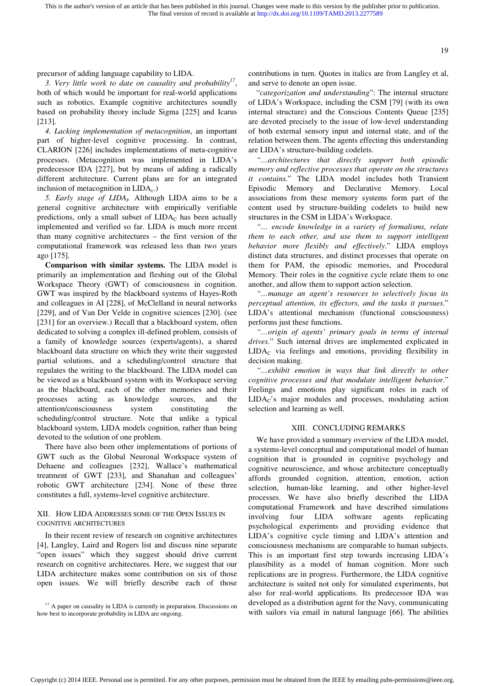precursor of adding language capability to LIDA.

*3. Very little work to date on causality and probability<sup>17</sup>* , both of which would be important for real-world applications such as robotics. Example cognitive architectures soundly based on probability theory include Sigma [225] and Icarus [213].

*4. Lacking implementation of metacognition*, an important part of higher-level cognitive processing. In contrast, CLARION [226] includes implementations of meta-cognitive processes. (Metacognition was implemented in LIDA's predecessor IDA [227], but by means of adding a radically different architecture. Current plans are for an integrated inclusion of metacognition in LIDA<sub>c</sub>.)

*5. Early stage of LIDA<sup>I</sup> .* Although LIDA aims to be a general cognitive architecture with empirically verifiable predictions, only a small subset of  $LIDA<sub>C</sub>$  has been actually implemented and verified so far. LIDA is much more recent than many cognitive architectures – the first version of the computational framework was released less than two years ago [175].

**Comparison with similar systems.** The LIDA model is primarily an implementation and fleshing out of the Global Workspace Theory (GWT) of consciousness in cognition. GWT was inspired by the blackboard systems of Hayes-Roth and colleagues in AI [228], of McClelland in neural networks [229], and of Van Der Velde in cognitive sciences [230]. (see [231] for an overview.) Recall that a blackboard system, often dedicated to solving a complex ill-defined problem, consists of a family of knowledge sources (experts/agents), a shared blackboard data structure on which they write their suggested partial solutions, and a scheduling/control structure that regulates the writing to the blackboard. The LIDA model can be viewed as a blackboard system with its Workspace serving as the blackboard, each of the other memories and their processes acting as knowledge sources, and the attention/consciousness system constituting the scheduling/control structure. Note that unlike a typical blackboard system, LIDA models cognition, rather than being devoted to the solution of one problem.

There have also been other implementations of portions of GWT such as the Global Neuronal Workspace system of Dehaene and colleagues [232], Wallace's mathematical treatment of GWT [233], and Shanahan and colleagues' robotic GWT architecture [234]. None of these three constitutes a full, systems-level cognitive architecture.

# XII. HOW LIDA ADDRESSES SOME OF THE OPEN ISSUES IN COGNITIVE ARCHITECTURES

In their recent review of research on cognitive architectures [4], Langley, Laird and Rogers list and discuss nine separate "open issues" which they suggest should drive current research on cognitive architectures. Here, we suggest that our LIDA architecture makes some contribution on six of those open issues. We will briefly describe each of those contributions in turn. Quotes in italics are from Langley et al, and serve to denote an open issue.

"*categorization and understanding*": The internal structure of LIDA's Workspace, including the CSM [79] (with its own internal structure) and the Conscious Contents Queue [235] are devoted precisely to the issue of low-level understanding of both external sensory input and internal state, and of the relation between them. The agents effecting this understanding are LIDA's structure-building codelets.

*"…architectures that directly support both episodic memory and reflective processes that operate on the structures it contains.*" The LIDA model includes both Transient Episodic Memory and Declarative Memory. Local associations from these memory systems form part of the content used by structure-building codelets to build new structures in the CSM in LIDA's Workspace.

*"… encode knowledge in a variety of formalisms, relate them to each other, and use them to support intelligent behavior more flexibly and effectively*." LIDA employs distinct data structures, and distinct processes that operate on them for PAM, the episodic memories, and Procedural Memory. Their roles in the cognitive cycle relate them to one another, and allow them to support action selection.

*"…manage an agent's resources to selectively focus its perceptual attention, its effectors, and the tasks it pursues*." LIDA's attentional mechanism (functional consciousness) performs just these functions.

*"…origin of agents' primary goals in terms of internal drives*." Such internal drives are implemented explicated in  $LIDA<sub>C</sub>$  via feelings and emotions, providing flexibility in decision making.

*"…exhibit emotion in ways that link directly to other cognitive processes and that modulate intelligent behavior*." Feelings and emotions play significant roles in each of  $LIDA<sub>C</sub>$ 's major modules and processes, modulating action selection and learning as well.

# XIII. CONCLUDING REMARKS

We have provided a summary overview of the LIDA model, a systems-level conceptual and computational model of human cognition that is grounded in cognitive psychology and cognitive neuroscience, and whose architecture conceptually affords grounded cognition, attention, emotion, action selection, human-like learning, and other higher-level processes. We have also briefly described the LIDA computational Framework and have described simulations involving four LIDA software agents replicating psychological experiments and providing evidence that LIDA's cognitive cycle timing and LIDA's attention and consciousness mechanisms are comparable to human subjects. This is an important first step towards increasing LIDA's plausibility as a model of human cognition. More such replications are in progress. Furthermore, the LIDA cognitive architecture is suited not only for simulated experiments, but also for real-world applications. Its predecessor IDA was developed as a distribution agent for the Navy, communicating with sailors via email in natural language [66]. The abilities

<sup>&</sup>lt;sup>17</sup> A paper on causality in LIDA is currently in preparation. Discussions on how best to incorporate probability in LIDA are ongoing.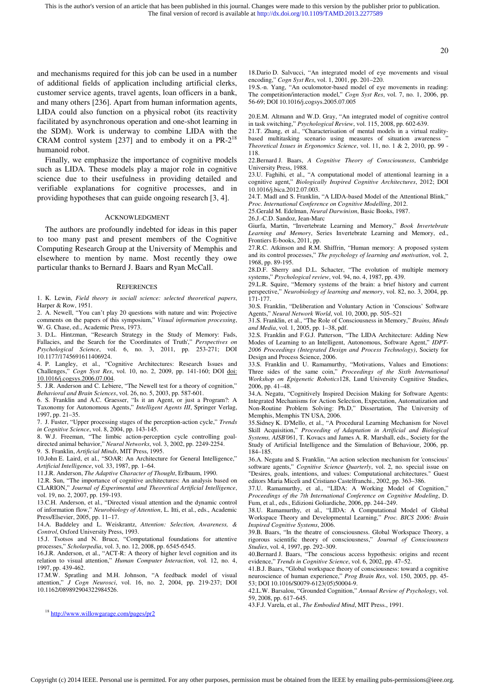and mechanisms required for this job can be used in a number of additional fields of application including artificial clerks, customer service agents, travel agents, loan officers in a bank, and many others [236]. Apart from human information agents, LIDA could also function on a physical robot (its reactivity facilitated by asynchronous operation and one-shot learning in the SDM). Work is underway to combine LIDA with the CRAM control system [237] and to embody it on a  $PR-2^{18}$ humanoid robot.

Finally, we emphasize the importance of cognitive models such as LIDA. These models play a major role in cognitive science due to their usefulness in providing detailed and verifiable explanations for cognitive processes, and in providing hypotheses that can guide ongoing research [3, 4].

#### ACKNOWLEDGMENT

The authors are profoundly indebted for ideas in this paper to too many past and present members of the Cognitive Computing Research Group at the University of Memphis and elsewhere to mention by name. Most recently they owe particular thanks to Bernard J. Baars and Ryan McCall.

#### **REFERENCES**

1. K. Lewin, *Field theory in sociall science: selected theoretical papers*, Harper & Row, 1951.

2. A. Newell, "You can't play 20 questions with nature and win: Projective comments on the papers of this symposium," *Visual information processing*, W. G. Chase, ed., Academic Press, 1973.

3. D.L. Hintzman, "Research Strategy in the Study of Memory: Fads, Fallacies, and the Search for the 'Coordinates of Truth'," *Perspectives on Psychological Science*, vol. 6, no. 3, 2011, pp. 253-271; DOI 10.1177/1745691611406924.

4. P. Langley, et al., "Cognitive Architectures: Research Issues and Challenges," *Cogn Syst Res*, vol. 10, no. 2, 2009, pp. 141-160; DOI doi: 10.1016/j.cogsys.2006.07.004.

5. J.R. Anderson and C. Lebiere, "The Newell test for a theory of cognition," *Behavioral and Brain Sciences*, vol. 26, no. 5, 2003, pp. 587-601.

6. S. Franklin and A.C. Graesser, "Is it an Agent, or just a Program?: A Taxonomy for Autonomous Agents," *Intelligent Agents III*, Springer Verlag, 1997, pp. 21–35.

7. J. Fuster, "Upper processing stages of the perception-action cycle," *Trends in Cognitive Science*, vol. 8, 2004, pp. 143-145.

8. W.J. Freeman, "The limbic action-perception cycle controlling goaldirected animal behavior," *Neural Networks*, vol. 3, 2002, pp. 2249-2254.

9. S. Franklin, *Artificial Minds*, MIT Press, 1995.

10. John E. Laird, et al., "SOAR: An Architecture for General Intelligence," *Artificial Intelligence*, vol. 33, 1987, pp. 1–64.

11. J.R. Anderson, *The Adaptive Character of Thought*, Erlbaum, 1990.

12.R. Sun, "The importance of cognitive architectures: An analysis based on CLARION," *Journal of Experimental and Theoretical Artificial Intelligence*, vol. 19, no. 2, 2007, pp. 159-193.

13. C.H. Anderson, et al., "Directed visual attention and the dynamic control of information flow," *Neurobiology of Attention*, L. Itti, et al., eds., Academic Press/Elsevier, 2005, pp. 11–17.

14. A. Baddeley and L. Weiskrantz, *Attention: Selection, Awareness, & Control*, Oxford University Press, 1993.

15.J. Tsotsos and N. Bruce, "Computational foundations for attentive processes," *Scholarpedia*, vol. 3, no. 12, 2008, pp. 6545-6545.

16.J.R. Anderson, et al., "ACT-R: A theory of higher level cognition and its relation to visual attention," *Human Computer Interaction*, vol. 12, no. 4, 1997, pp. 439-462.

17.M.W. Spratling and M.H. Johnson, "A feedback model of visual attention," *J Cogn Neurosci*, vol. 16, no. 2, 2004, pp. 219-237; DOI 10.1162/089892904322984526.

<sup>18</sup> http://www.willowgarage.com/pages/pr2

18. Dario D. Salvucci, "An integrated model of eye movements and visual encoding," *Cogn Syst Res*, vol. 1, 2001, pp. 201–220.

19. S.-n. Yang, "An oculomotor-based model of eye movements in reading: The competition/interaction model," *Cogn Syst Res*, vol. 7, no. 1, 2006, pp. 56-69; DOI 10.1016/j.cogsys.2005.07.005

20.E.M. Altmann and W.D. Gray, "An integrated model of cognitive control in task switching," *Psychological Review*, vol. 115, 2008, pp. 602-639.

21. T. Zhang, et al., "Characterisation of mental models in a virtual realitybased multitasking scenario using measures of situation awareness *Theoretical Issues in Ergonomics Science*, vol. 11, no. 1 & 2, 2010, pp. 99 - 118.

22. Bernard J. Baars, *A Cognitive Theory of Consciousness*, Cambridge University Press, 1988.

23. U. Faghihi, et al., "A computational model of attentional learning in a cognitive agent," *Biologically Inspired Cognitive Architectures*, 2012; DOI 10.1016/j.bica.2012.07.003.

24. T. Madl and S. Franklin, "A LIDA-based Model of the Attentional Blink," *Proc. International Conference on Cognitive Modelling*, 2012.

25. Gerald M. Edelman, *Neural Darwinism*, Basic Books, 1987.

26.J.-C.D. Sandoz, Jean-Marc

Giurfa, Martin, "Invertebrate Learning and Memory," *Book Invertebrate Learning and Memory*, Series Invertebrate Learning and Memory, ed., Frontiers E-books, 2011, pp.

27. R.C. Atkinson and R.M. Shiffrin, "Human memory: A proposed system and its control processes," *The psychology of learning and motivation*, vol. 2, 1968, pp. 89-195.

28. D.F. Sherry and D.L. Schacter, "The evolution of multiple memory systems," *Psychological review*, vol. 94, no. 4, 1987, pp. 439.

29. L.R. Squire, "Memory systems of the brain: a brief history and current perspective," *Neurobiology of learning and memory*, vol. 82, no. 3, 2004, pp. 171-177.

30. S. Franklin, "Deliberation and Voluntary Action in 'Conscious' Software Agents," *Neural Network World*, vol. 10, 2000, pp. 505–521

31. S. Franklin, et al., "The Role of Consciousness in Memory," *Brains, Minds and Media*, vol. 1, 2005, pp. 1–38, pdf.

32. S. Franklin and F.G.J. Patterson, "The LIDA Architecture: Adding New Modes of Learning to an Intelligent, Autonomous, Software Agent," *IDPT-2006 Proceedings (Integrated Design and Process Technology)*, Society for Design and Process Science, 2006.

33. S. Franklin and U. Ramamurthy, "Motivations, Values and Emotions: Three sides of the same coin," *Proceedings of the Sixth International Workshop on Epigenetic Robotics*128, Lund University Cognitive Studies, 2006, pp. 41–48.

34.A. Negatu, "Cognitively Inspired Decision Making for Software Agents: Integrated Mechanisms for Action Selection, Expectation, Automatization and Non-Routine Problem Solving: Ph.D," Dissertation, The University of Memphis, Memphis TN USA, 2006.

35. Sidney K. D'Mello, et al., "A Procedural Learning Mechanism for Novel Skill Acquisition," *Proceeding of Adaptation in Artificial and Biological Systems, AISB'06*1, T. Kovacs and James A. R. Marshall, eds., Society for the Study of Artificial Intelligence and the Simulation of Behaviour, 2006, pp. 184–185.

36. A. Negatu and S. Franklin, "An action selection mechanism for 'conscious' software agents," *Cognitive Science Quarterly*, vol. 2, no. special issue on "Desires, goals, intentions, and values: Computational architectures." Guest editors Maria Miceli and Cristiano Castelfranchi., 2002, pp. 363–386.

37. U. Ramamurthy, et al., "LIDA: A Working Model of Cognition," *Proceedings of the 7th International Conference on Cognitive Modeling*, D. Fum, et al., eds., Edizioni Goliardiche, 2006, pp. 244–249.

38. U. Ramamurthy, et al., "LIDA: A Computational Model of Global Workspace Theory and Developmental Learning," *Proc. BICS 2006: Brain Inspired Cognitive Systems*, 2006.

39. B. Baars, "In the theatre of consciousness. Global Workspace Theory, a rigorous scientific theory of consciousness," *Journal of Consciousness Studies*, vol. 4, 1997, pp. 292–309.

40. Bernard J. Baars, "The conscious access hypothesis: origins and recent evidence," *Trends in Cognitive Science*, vol. 6, 2002, pp. 47–52.

41. B.J. Baars, "Global workspace theory of consciousness: toward a cognitive neuroscience of human experience," *Prog Brain Res*, vol. 150, 2005, pp. 45- 53; DOI 10.1016/S0079-6123(05)50004-9.

42. L.W. Barsalou, "Grounded Cognition," *Annual Review of Psychology*, vol. 59, 2008, pp. 617–645.

43. F.J. Varela, et al., *The Embodied Mind*, MIT Press., 1991.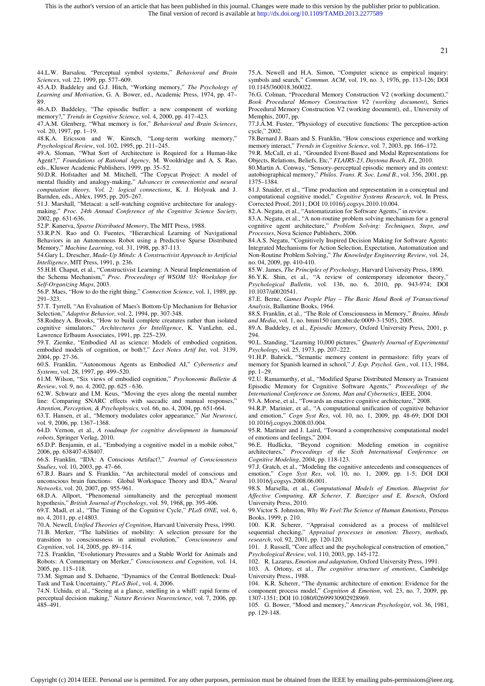21

44. L.W. Barsalou, "Perceptual symbol systems," *Behavioral and Brain Sciences*, vol. 22, 1999, pp. 577–609.

45. A.D. Baddeley and G.J. Hitch, "Working memory," *The Psychology of Learning and Motivation*, G. A. Bower, ed., Academic Press, 1974, pp. 47– 89.

46. A.D. Baddeley, "The episodic buffer: a new component of working memory?," *Trends in Cognitive Science*, vol. 4, 2000, pp. 417–423.

47. A.M. Glenberg, "What memory is for," *Behavioral and Brain Sciences*, vol. 20, 1997, pp. 1–19.

48. K.A. Ericsson and W. Kintsch, "Long-term working memory," *Psychological Review*, vol. 102, 1995, pp. 211–245.

49.A. Sloman, "What Sort of Architecture is Required for a Human-like Agent?," *Foundations of Rational Agency*, M. Wooldridge and A. S. Rao, eds., Kluwer Academic Publishers, 1999, pp. 35–52.

50. D.R. Hofstadter and M. Mitchell, "The Copycat Project: A model of mental fluidity and analogy-making," *Advances in connectionist and neural computation theory, Vol. 2: logical connections*, K. J. Holyoak and J. Barnden, eds., Ablex, 1995, pp. 205–267.

51. J. Marshall, "Metacat: a self-watching cognitive architecture for analogymaking," *Proc. 24th Annual Conference of the Cognitive Science Society*, 2002, pp. 631-636.

52. P. Kanerva, *Sparse Distributed Memory*, The MIT Press, 1988.

53. R.P.N. Rao and O. Fuentes, "Hierarchical Learning of Navigational Behaviors in an Autonomous Robot using a Predictive Sparse Distributed Memory," *Machine Learning*, vol. 31, 1998, pp. 87-113.

54. Gary L. Drescher, *Made-Up Minds: A Constructivist Approach to Artificial Intelligence*, MIT Press, 1991, p. 236.

55. H.H. Chaput, et al., "Constructivist Learning: A Neural Implementation of the Schema Mechanism," *Proc. Proceedings of WSOM '03: Workshop for Self-Organizing Maps*, 2003.

56. P. Maes, "How to do the right thing," *Connection Science*, vol. 1, 1989, pp. 291–323.

57.T. Tyrrell, "An Evaluation of Maes's Bottom-Up Mechanism for Behavior Selection," *Adaptive Behavior*, vol. 2, 1994, pp. 307-348.

58. Rodney A. Brooks, "How to build complete creatures rather than isolated cognitive simulators," *Architectures for Intelligence*, K. VanLehn, ed., Lawrence Erlbaum Associates, 1991, pp. 225–239.

59.T. Ziemke, "Embodied AI as science: Models of embodied cognition, embodied models of cognition, or both?," *Lect Notes Artif Int*, vol. 3139, 2004, pp. 27-36.

60. S. Franklin, "Autonomous Agents as Embodied AI," *Cybernetics and Systems*, vol. 28, 1997, pp. 499–520.

61. M. Wilson, "Six views of embodied cognition," *Psychonomic Bulletin & Review*, vol. 9, no. 4, 2002, pp. 625 - 636.

62. W. Schwarz and I.M. Keus, "Moving the eyes along the mental number line: Comparing SNARC effects with saccadic and manual responses,' *Attention, Perception, & Psychophysics*, vol. 66, no. 4, 2004, pp. 651-664.

63. T. Hansen, et al., "Memory modulates color appearance," *Nat Neurosci*, vol. 9, 2006, pp. 1367–1368.

64. D. Vernon, et al., *A roadmap for cognitive development in humanoid robots*, Springer Verlag, 2010.

65. D.P. Benjamin, et al., "Embodying a cognitive model in a mobile robot," 2006, pp. 638407-638407.

66. S. Franklin, "IDA: A Conscious Artifact?," *Journal of Consciousness Studies*, vol. 10, 2003, pp. 47–66.

67. B.J. Baars and S. Franklin, "An architectural model of conscious and unconscious brain functions: Global Workspace Theory and IDA," *Neural Networks*, vol. 20, 2007, pp. 955-961.

68. D.A. Allport, "Phenomenal simultaneity and the perceptual moment hypothesis," *British Journal of Psychology*, vol. 59, 1968, pp. 395-406.

69. T. Madl, et al., "The Timing of the Cognitive Cycle," *PLoS ONE*, vol. 6, no. 4, 2011, pp. e14803.

70. A. Newell, *Unified Theories of Cognition*, Harvard University Press, 1990. 71. B. Merker, "The liabilities of mobility: A selection pressure for the transition to consciousness in animal evolution," *Consciousness and Cognition*, vol. 14, 2005, pp. 89–114.

72. S. Franklin, "Evolutionary Pressures and a Stable World for Animals and Robots: A Commentary on Merker," *Consciousness and Cognition*, vol. 14, 2005, pp. 115–118.

73. M. Sigman and S. Dehaene, "Dynamics of the Central Bottleneck: Dual-Task and Task Uncertainty," *PLoS Biol.*, vol. 4, 2006.

74. N. Uchida, et al., "Seeing at a glance, smelling in a whiff: rapid forms of perceptual decision making," *Nature Reviews Neuroscience*, vol. 7, 2006, pp. 485–491.

75. A. Newell and H.A. Simon, "Computer science as empirical inquiry: symbols and search," *Commun. ACM*, vol. 19, no. 3, 1976, pp. 113-126; DOI 10.1145/360018.360022.

76. G. Colman, "Procedural Memory Construction V2 (working document)," *Book Procedural Memory Construction V2 (working document)*, Series Procedural Memory Construction V2 (working document), ed., University of Memphis, 2007, pp.

77. J.Ã.M. Fuster, "Physiology of executive functions: The perception-action cycle," 2002.

78. Bernard J. Baars and S. Franklin, "How conscious experience and working memory interact," *Trends in Cognitive Science*, vol. 7, 2003, pp. 166–172.

79. R. McCall, et al., "Grounded Event-Based and Modal Representations for Objects, Relations, Beliefs, Etc," *FLAIRS-23, Daytona Beach, FL*, 2010.

80. Martin A. Conway, "Sensory–perceptual episodic memory and its context: autobiographical memory," *Philos. Trans. R. Soc. Lond B.*, vol. 356, 2001, pp. 1375–1384.

81. J. Snaider, et al., "Time production and representation in a conceptual and computational cognitive model," *Cognitive Systems Research*, vol. In Press, Corrected Proof, 2011; DOI 10.1016/j.cogsys.2010.10.004.

82. A. Negatu, et al., "Automatization for Software Agents," in review.

83. A. Negatu, et al., "A non-routine problem solving mechanism for a general cognitive agent architecture," *Problem Solving: Techniques, Steps, and Processes*, Nova Science Publishers, 2006.

84. A.S. Negatu, "Cognitively Inspired Decision Making for Software Agents: Integrated Mechanisms for Action Selection, Expectation, Automatization and Non-Routine Problem Solving," *The Knowledge Engineering Review*, vol. 24, no. 04, 2009, pp. 410-410.

85. W. James, *The Principles of Psychology*, Harvard University Press, 1890. 86. Y.K. Shin, et al., "A review of contemporary ideomotor theory," *Psychological Bulletin*, vol. 136, no. 6, 2010, pp. 943-974; DOI 10.1037/a0020541.

87. E. Berne, *Games People Play – The Basic Hand Book of Transactional Analysis*, Ballantine Books, 1964.

88. S. Franklin, et al., "The Role of Consciousness in Memory," *Brains, Minds and Media*, vol. 1, no. bmm150 (urn:nbn:de:0009-3-1505), 2005.

89. A. Baddeley, et al., *Episodic Memory*, Oxford University Press, 2001, p. 294.

90.L. Standing, "Learning 10,000 pictures," Quaterly Journal of Experimental *Psychology*, vol. 25, 1973, pp. 207–222.

91. H.P. Bahrick, "Semantic memory content in permastore: fifty years of memory for Spanish learned in school," *J. Exp. Psychol. Gen.*, vol. 113, 1984, pp. 1–29.

92.U. Ramamurthy, et al., "Modified Sparse Distributed Memory as Transient Episodic Memory for Cognitive Software Agents," *Proceedings of the International Conference on Sstems, Man and Cybernetics*, IEEE, 2004.

93. A. Morse, et al., "Towards an enactive cognitive architecture," 2008.

94. R.P. Marinier, et al., "A computational unification of cognitive behavior and emotion," *Cogn Syst Res*, vol. 10, no. 1, 2009, pp. 48-69; DOI DOI 10.1016/j.cogsys.2008.03.004.

95. R. Marinier and J. Laird, "Toward a comprehensive computational model of emotions and feelings," 2004.

96.E. Hudlicka, "Beyond cognition: Modeling emotion in cognitive architectures," *Proceedings of the Sixth International Conference on Cognitive Modeling*, 2004, pp. 118-123.

97.J. Gratch, et al., "Modeling the cognitive antecedents and consequences of emotion," *Cogn Syst Res*, vol. 10, no. 1, 2009, pp. 1-5; DOI DOI 10.1016/j.cogsys.2008.06.001.

98. S. Marsella, et al., *Computational Models of Emotion. Blueprint for Affective Computing. KR Scherer, T. Banziger and E. Roesch*, Oxford University Press, 2010.

99. Victor S. Johnston, *Why We Feel:The Science of Human Emotions*, Perseus Books, 1999, p. 210.

100. K.R. Scherer, "Appraisal considered as a process of multilevel sequential checking," *Appraisal processes in emotion: Theory, methods, research*, vol. 92, 2001, pp. 120-120.

101. J. Russell, "Core affect and the psychological construction of emotion," *Psychological Review*, vol. 110, 2003, pp. 145-172.

102. R. Lazarus, *Emotion and adaptation*, Oxford University Press, 1991.

103. A. Ortony, et al., *The cognitive structure of emotions*, Cambridge University Press., 1988.

104. K.R. Scherer, "The dynamic architecture of emotion: Evidence for the component process model," *Cognition & Emotion*, vol. 23, no. 7, 2009, pp. 1307-1351; DOI 10.1080/02699930902928969.

105. G. Bower, "Mood and memory," *American Psychologist*, vol. 36, 1981, pp. 129-148.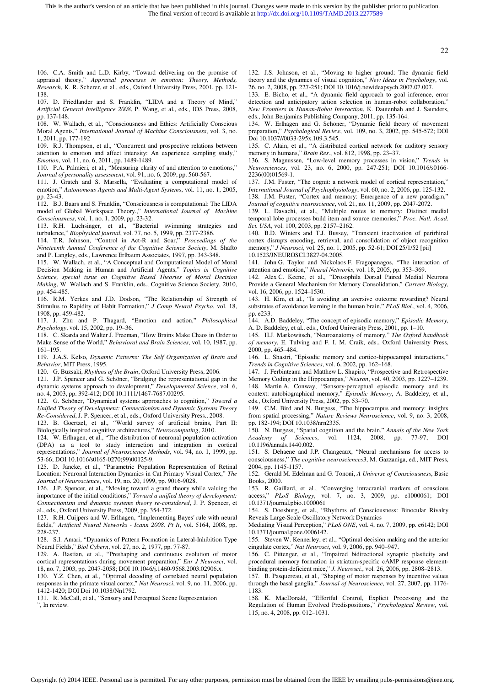106. C.A. Smith and L.D. Kirby, "Toward delivering on the promise of appraisal theory," *Appraisal processes in emotion: Theory, Methods, Research*, K. R. Scherer, et al., eds., Oxford University Press, 2001, pp. 121- 138.

107. D. Friedlander and S. Franklin, "LIDA and a Theory of Mind," *Artificial General Intelligence 2008*, P. Wang, et al., eds., IOS Press, 2008, pp. 137-148.

108. W. Wallach, et al., "Consciousness and Ethics: Artificially Conscious Moral Agents," *International Journal of Machine Consciousness*, vol. 3, no. 1, 2011, pp. 177-192

109. R.J. Thompson, et al., "Concurrent and prospective relations between attention to emotion and affect intensity: An experience sampling study," *Emotion*, vol. 11, no. 6, 2011, pp. 1489-1489.

110. P.A. Palmieri, et al., "Measuring clarity of and attention to emotions," *Journal of personality assessment*, vol. 91, no. 6, 2009, pp. 560-567.

111. J. Gratch and S. Marsella, "Evaluating a computational model of emotion," *Autonomous Agents and Multi-Agent Systems*, vol. 11, no. 1, 2005, pp. 23-43.

112. B.J. Baars and S. Franklin, "Consciousness is computational: The LIDA model of Global Workspace Theory.," *International Journal of Machine Consciousness*, vol. 1, no. 1, 2009, pp. 23-32.

113. R.H. Luchsinger, et al., "Bacterial swimming strategies and turbulence," *Biophysical journal*, vol. 77, no. 5, 1999, pp. 2377-2386.

114. T.R. Johnson, "Control in Act-R and Soar," *Proceedings of the Nineteenth Annual Conference of the Cognitive Science Society*, M. Shafto and P. Langley, eds., Lawrence Erlbaum Associates, 1997, pp. 343-348.

115. W. Wallach, et al., "A Conceptual and Computational Model of Moral Decision Making in Human and Artificial Agents," *Topics in Cognitive Science, special issue on Cognitive Based Theories of Moral Decision Making*, W. Wallach and S. Franklin, eds., Cognitive Science Society, 2010, pp. 454-485.

116. R.M. Yerkes and J.D. Dodson, "The Relationship of Strength of Stimulus to Rapidity of Habit Formation," *J Comp Neurol Psycho*, vol. 18, 1908, pp. 459-482.

117. J. Zhu and P. Thagard, "Emotion and action," *Philosophical Psychology*, vol. 15, 2002, pp. 19–36.

118. C. Skarda and Walter J. Freeman, "How Brains Make Chaos in Order to Make Sense of the World," *Behavioral and Brain Sciences*, vol. 10, 1987, pp. 161–195.

119. J.A.S. Kelso, *Dynamic Patterns: The Self Organization of Brain and Behavior*, MIT Press, 1995.

120. G. Buzsaki, *Rhythms of the Brain*, Oxford University Press, 2006.

121. J.P. Spencer and G. Schöner, "Bridging the representational gap in the dynamic systems approach to development," *Developmental Science*, vol. 6, no. 4, 2003, pp. 392-412; DOI 10.1111/1467-7687.00295.

122. G. Schöner, "Dynamical systems approaches to cognition," *Toward a Unified Theory of Development: Connectionism and Dynamic Systems Theory Re-Considered*, J. P. Spencer, et al., eds., Oxford University Press., 2008.

123. B. Goertzel, et al., "World survey of artificial brains, Part II: Biologically inspired cognitive architectures," *Neurocomputing*, 2010.

124. W. Erlhagen, et al., "The distribution of neuronal population activation (DPA) as a tool to study interaction and integration in cortical representations," *Journal of Neuroscience Methods*, vol. 94, no. 1, 1999, pp. 53-66; DOI 10.1016/s0165-0270(99)00125-9.

125. D. Jancke, et al., "Parametric Population Representation of Retinal Location: Neuronal Interaction Dynamics in Cat Primary Visual Cortex," *The Journal of Neuroscience*, vol. 19, no. 20, 1999, pp. 9016-9028.

126. J.P. Spencer, et al., "Moving toward a grand theory while valuing the importance of the initial conditions," *Toward a unified theory of development: Connectionism and dynamic systems theory re-considered*, J. P. Spencer, et al., eds., Oxford University Press, 2009, pp. 354-372.

127. R.H. Cuijpers and W. Erlhagen, "Implementing Bayes' rule with neural fields," *Artificial Neural Networks - Icann 2008, Pt Ii*, vol. 5164, 2008, pp. 228-237.

128. S.I. Amari, "Dynamics of Pattern Formation in Lateral-Inhibition Type Neural Fields," *Biol Cybern*, vol. 27, no. 2, 1977, pp. 77-87.

129. A. Bastian, et al., "Preshaping and continuous evolution of motor cortical representations during movement preparation," *Eur J Neurosci*, vol. 18, no. 7, 2003, pp. 2047-2058; DOI 10.1046/j.1460-9568.2003.02906.x.

130. Y.Z. Chen, et al., "Optimal decoding of correlated neural population responses in the primate visual cortex," *Nat Neurosci*, vol. 9, no. 11, 2006, pp. 1412-1420; DOI Doi 10.1038/Nn1792.

131. R. McCall, et al., "Sensory and Perceptual Scene Representation ", In review.

132. J.S. Johnson, et al., "Moving to higher ground: The dynamic field theory and the dynamics of visual cognition," *New Ideas in Psychology*, vol. 26, no. 2, 2008, pp. 227-251; DOI 10.1016/j.newideapsych.2007.07.007.

22

133. E. Bicho, et al., "A dynamic field approach to goal inference, error detection and anticipatory action selection in human-robot collaboration," *New Frontiers in Human-Robot Interaction*, K. Dautenhah and J. Saunders, eds., John Benjamins Publishing Company, 2011, pp. 135-164.

134. W. Erlhagen and G. Schoner, "Dynamic field theory of movement preparation," *Psychological Review*, vol. 109, no. 3, 2002, pp. 545-572; DOI Doi 10.1037//0033-295x.109.3.545.

135. C. Alain, et al., "A distributed cortical network for auditory sensory memory in humans," *Brain Res.*, vol. 812, 1998, pp. 23–37.

136. S. Magnussen, "Low-level memory processes in vision," *Trends in Neurosciences*, vol. 23, no. 6, 2000, pp. 247-251; DOI 10.1016/s0166- 2236(00)01569-1.

137. J.M. Fuster, "The cognit: a network model of cortical representation," *International Journal of Psychophysiology*, vol. 60, no. 2, 2006, pp. 125-132.

138. J.M. Fuster, "Cortex and memory: Emergence of a new paradigm," *Journal of cognitive neuroscience*, vol. 21, no. 11, 2009, pp. 2047-2072.

139. L. Davachi, et al., "Multiple routes to memory: Distinct medial temporal lobe processes build item and source memories," *Proc. Natl. Acad. Sci. USA*, vol. 100, 2003, pp. 2157–2162.

140. B.D. Winters and T.J. Bussey, "Transient inactivation of perirhinal cortex disrupts encoding, retrieval, and consolidation of object recognition memory," *J Neurosci*, vol. 25, no. 1, 2005, pp. 52-61; DOI 25/1/52 [pii] 10.1523/JNEUROSCI.3827-04.2005.

141. John G. Taylor and Nickolaos F. Fragopanagos, "The interaction of attention and emotion," *Neural Networks*, vol. 18, 2005, pp. 353–369.

142. Alex C. Keene, et al., "Drosophila Dorsal Paired Medial Neurons Provide a General Mechanism for Memory Consolidation," *Current Biology*, vol. 16, 2006, pp. 1524–1530.

143. H. Kim, et al., "Is avoiding an aversive outcome rewarding? Neural substrates of avoidance learning in the human brain," *PLoS Biol.*, vol. 4, 2006, pp. e233.

144. A.D. Baddeley, "The concept of episodic memory," *Episodic Memory*, A. D. Baddeley, et al., eds., Oxford University Press, 2001, pp. 1–10.

145. H.J. Markowitsch, "Neuroanatomy of memory," *The Oxford handbook of memory*, E. Tulving and F. I. M. Craik, eds., Oxford University Press, 2000, pp. 465–484.

146. L. Shastri, "Episodic memory and cortico-hippocampal interactions," *Trends in Cognitive Sciences*, vol. 6, 2002, pp. 162–168.

147. J. Ferbinteanu and Matthew L. Shapiro, "Prospective and Retrospective Memory Coding in the Hippocampus," *Neuron*, vol. 40, 2003, pp. 1227–1239. 148. Martin A. Conway, "Sensory-perceptual episodic memory and its context: autobiographical memory," *Episodic Memory*, A. Baddeley, et al., eds., Oxford University Press, 2002, pp. 53–70.

149. C.M. Bird and N. Burgess, "The hippocampus and memory: insights from spatial processing," *Nature Reviews Neuroscience*, vol. 9, no. 3, 2008, pp. 182-194; DOI 10.1038/nrn2335.

150. N. Burgess, "Spatial cognition and the brain," *Annals of the New York Academy of Sciences*, vol. 1124, 2008, pp. 77-97; DOI 10.1196/annals.1440.002.

151. S. Dehaene and J.P. Changeaux, "Neural mechanisms for access to consciousness," *The cognitive neurosciences*3, M. Gazzaniga, ed., MIT Press, 2004, pp. 1145-1157.

152. Gerald M. Edelman and G. Tononi, *A Universe of Consciousness*, Basic Books, 2000.

153. R. Gaillard, et al., "Converging intracranial markers of conscious access," *PLoS Biology*, vol. 7, no. 3, 2009, pp. e1000061; DOI 10.1371/journal.pbio.1000061

154. S. Doesburg, et al., "Rhythms of Consciousness: Binocular Rivalry Reveals Large-Scale Oscillatory Network Dynamics

Mediating Visual Perception," *PLoS ONE*, vol. 4, no. 7, 2009, pp. e6142; DOI 10.1371/journal.pone.0006142.

155. Steven W. Kennerley, et al., "Optimal decision making and the anterior cingulate cortex," *Nat Neurosci*, vol. 9, 2006, pp. 940–947.

156. C. Pittenger, et al., "Impaired bidirectional synaptic plasticity and procedural memory formation in striatum-specific cAMP response elementbinding protein-deficient mice," *J. Neurosci.*, vol. 26, 2006, pp. 2808–2813.

157. B. Pasquereau, et al., "Shaping of motor responses by incentive values through the basal ganglia," *Journal of Neuroscience*, vol. 27, 2007, pp. 1176- 1183.

158. K. MacDonald, "Effortful Control, Explicit Processing and the Regulation of Human Evolved Predispositions," *Psychological Review*, vol. 115, no. 4, 2008, pp. 012–1031.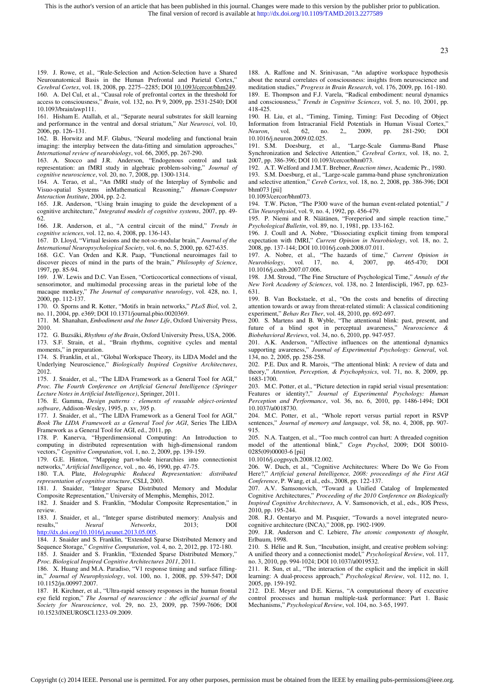159. J. Rowe, et al., "Rule-Selection and Action-Selection have a Shared Neuroanatomical Basis in the Human Prefrontal and Parietal Cortex," *Cerebral Cortex*, vol. 18, 2008, pp. 2275--2285; DOI 10.1093/cercor/bhm249. 160. A. Del Cul, et al., "Causal role of prefrontal cortex in the threshold for access to consciousness," *Brain*, vol. 132, no. Pt 9, 2009, pp. 2531-2540; DOI 10.1093/brain/awp111.

161. Hisham E. Atallah, et al., "Separate neural substrates for skill learning and performance in the ventral and dorsal striatum," *Nat Neurosci*, vol. 10, 2006, pp. 126–131.

162. B. Horwitz and M.F. Glabus, "Neural modeling and functional brain imaging: the interplay between the data-fitting and simulation approaches," *International review of neurobiology*, vol. 66, 2005, pp. 267-290.

163. A. Stocco and J.R. Anderson, "Endogenous control and task representation: an fMRI study in algebraic problem-solving," *Journal of cognitive neuroscience*, vol. 20, no. 7, 2008, pp. 1300-1314.

164. A. Terao, et al., "An fMRI study of the Interplay of Symbolic and Visuo-spatial Systems inMathematical Reasoning," *Human-Computer Interaction Institute*, 2004, pp. 2-2.

165. J.R. Anderson, "Using brain imaging to guide the development of a cognitive architecture," *Integrated models of cognitive systems*, 2007, pp. 49- 62.

166. J.R. Anderson, et al., "A central circuit of the mind," *Trends in cognitive sciences*, vol. 12, no. 4, 2008, pp. 136-143.

167. D. Lloyd, "Virtual lesions and the not-so-modular brain," *Journal of the International Neuropsychological Society*, vol. 6, no. 5, 2000, pp. 627-635.

168. G.C. Van Orden and K.R. Paap, "Functional neuroimages fail to discover pieces of mind in the parts of the brain," *Philosophy of Science*, 1997, pp. 85-94.

169. J.W. Lewis and D.C. Van Essen, "Corticocortical connections of visual, sensorimotor, and multimodal processing areas in the parietal lobe of the macaque monkey," *The Journal of comparative neurology*, vol. 428, no. 1, 2000, pp. 112-137.

170. O. Sporns and R. Kotter, "Motifs in brain networks," *PLoS Biol*, vol. 2, no. 11, 2004, pp. e369; DOI 10.1371/journal.pbio.0020369.

171. M. Shanahan, *Embodiment and the Inner Life*, Oxford University Press, 2010.

172. G. Buzsáki, *Rhythms of the Brain*, Oxford University Press, USA, 2006. 173. S.F. Strain, et al., "Brain rhythms, cognitive cycles and mental moments," in preparation.

174. S. Franklin, et al., "Global Workspace Theory, its LIDA Model and the Underlying Neuroscience," *Biologically Inspired Cognitive Architectures*, 2012.

175. J. Snaider, et al., "The LIDA Framework as a General Tool for AGI," *Proc. The Fourth Conference on Artificial General Intelligence (Springer Lecture Notes in Artificial Intelligence)*, Springer, 2011.

176. E. Gamma, *Design patterns : elements of reusable object-oriented software*, Addison-Wesley, 1995, p. xv, 395 p.

177. J. Snaider, et al., "The LIDA Framework as a General Tool for AGI," *Book The LIDA Framework as a General Tool for AGI*, Series The LIDA Framework as a General Tool for AGI, ed., 2011, pp.

178. P. Kanerva, "Hyperdimensional Computing: An Introduction to computing in distributed representation with high-dimensional random vectors," *Cognitive Computation*, vol. 1, no. 2, 2009, pp. 139-159.

179. G.E. Hinton, "Mapping part-whole hierarchies into connectionist networks," *Artificial Intelligence*, vol. , no. 46, 1990, pp. 47-75.

180. T.A. Plate, *Holographic Reduced Representation: distributed representation of cognitive structure*, CSLI, 2003.

181. J. Snaider, "Integer Sparse Distributed Memory and Modular Composite Representation," University of Memphis, Memphis, 2012.

182. J. Snaider and S. Franklin, "Modular Composite Representation," in review.

183. J. Snaider, et al., "Integer sparse distributed memory: Analysis and results," *Neural Networks*, 2013; DOI http://dx.doi.org/10.1016/j.neunet.2013.05.005.

184. J. Snaider and S. Franklin, "Extended Sparse Distributed Memory and Sequence Storage," *Cognitive Computation*, vol. 4, no. 2, 2012, pp. 172-180.

185. J. Snaider and S. Franklin, "Extended Sparse Distributed Memory," *Proc. Biological Inspired Cognitive Architectures 2011*, 2011.

186. X. Huang and M.A. Paradiso, "V1 response timing and surface fillingin," *Journal of Neurophysiology*, vol. 100, no. 1, 2008, pp. 539-547; DOI 10.1152/jn.00997.2007.

187. H. Kirchner, et al., "Ultra-rapid sensory responses in the human frontal eye field region," *The Journal of neuroscience : the official journal of the Society for Neuroscience*, vol. 29, no. 23, 2009, pp. 7599-7606; DOI 10.1523/JNEUROSCI.1233-09.2009.

188. A. Raffone and N. Srinivasan, "An adaptive workspace hypothesis about the neural correlates of consciousness: insights from neuroscience and meditation studies," *Progress in Brain Research*, vol. 176, 2009, pp. 161-180. 189. E. Thompson and F.J. Varela, "Radical embodiment: neural dynamics and consciousness," *Trends in Cognitive Sciences*, vol. 5, no. 10, 2001, pp. 418-425.

190. H. Liu, et al., "Timing, Timing, Timing: Fast Decoding of Object Information from Intracranial Field Potentials in Human Visual Cortex, *Neuron*, vol. 62, no. 2,, 2009, pp. 281-290; DOI 10.1016/j.neuron.2009.02.025.

191. S.M. Doesburg, et al., "Large-Scale Gamma-Band Phase Synchronization and Selective Attention," *Cerebral Cortex*, vol. 18, no. 2, 2007, pp. 386-396; DOI 10.1093/cercor/bhm073.

192. A.T. Welford and J.M.T. Brebner, *Reaction times*, Academic Pr., 1980.

193. S.M. Doesburg, et al., "Large-scale gamma-band phase synchronization and selective attention," *Cereb Cortex*, vol. 18, no. 2, 2008, pp. 386-396; DOI bhm073 [pii]

10.1093/cercor/bhm073.

194. T.W. Picton, "The P300 wave of the human event-related potential," *J Clin Neurophysiol*, vol. 9, no. 4, 1992, pp. 456-479.

195. P. Niemi and R. Näätänen, "Foreperiod and simple reaction time," *Psychological Bulletin*, vol. 89, no. 1, 1981, pp. 133-162.

196. J. Coull and A. Nobre, "Dissociating explicit timing from temporal expectation with fMRI," *Current Opinion in Neurobiology*, vol. 18, no. 2, 2008, pp. 137-144; DOI 10.1016/j.conb.2008.07.011.

197. A. Nobre, et al., "The hazards of time," *Current Opinion in*  no. 4, 2007, pp. 465-470; DOI 10.1016/j.conb.2007.07.006.

198. J.M. Stroud, "The Fine Structure of Psychological Time," *Annals of the New York Academy of Sciences*, vol. 138, no. 2 Interdiscipli, 1967, pp. 623- 631.

199. B. Van Bockstaele, et al., "On the costs and benefits of directing attention towards or away from threat-related stimuli: A classical conditioning experiment," *Behav Res Ther*, vol. 48, 2010, pp. 692-697.

200. S. Martens and B. Wyble, "The attentional blink: past, present, and future of a blind spot in perceptual awareness," *Neuroscience & Biobehavioral Reviews*, vol. 34, no. 6, 2010, pp. 947-957.

201. A.K. Anderson, "Affective influences on the attentional dynamics supporting awareness," *Journal of Experimental Psychology: General*, vol. 134, no. 2, 2005, pp. 258-258.

202. P.E. Dux and R. Marois, "The attentional blink: A review of data and theory," *Attention, Perception, & Psychophysics*, vol. 71, no. 8, 2009, pp. 1683-1700.

203. M.C. Potter, et al., "Picture detection in rapid serial visual presentation: Features or identity?," *Journal of Experimental Psychology: Human Perception and Performance*, vol. 36, no. 6, 2010, pp. 1486-1494; DOI 10.1037/a0018730.

204. M.C. Potter, et al., "Whole report versus partial report in RSVP sentences," *Journal of memory and language*, vol. 58, no. 4, 2008, pp. 907- 915.

205. N.A. Taatgen, et al., "Too much control can hurt: A threaded cognition model of the attentional blink," *Cogn Psychol*, 2009; DOI S0010- 0285(09)00003-6 [pii]

10.1016/j.cogpsych.2008.12.002.

206. W. Duch, et al., "Cognitive Architectures: Where Do We Go From Here?," *Artificial general Intelligence, 2008: proceedings of the First AGI Conference*, P. Wang, et al., eds., 2008, pp. 122-137.

207. A.V. Samsonovich, "Toward a Unified Catalog of Implemented Cognitive Architectures," *Proceeding of the 2010 Conference on Biologically Inspired Cognitive Architectures*, A. V. Samsonovich, et al., eds., IOS Press, 2010, pp. 195-244.

208. R.J. Oentaryo and M. Pasquier, "Towards a novel integrated neurocognitive architecture (INCA)," 2008, pp. 1902-1909.

209. J.R. Anderson and C. Lebiere, *The atomic components of thought*, Erlbaum, 1998.

210. S. Hélie and R. Sun, "Incubation, insight, and creative problem solving: A unified theory and a connectionist model," *Psychological Review*, vol. 117, no. 3, 2010, pp. 994-1024; DOI 10.1037/a0019532.

211. R. Sun, et al., "The interaction of the explicit and the implicit in skill learning: A dual-process approach," *Psychological Review*, vol. 112, no. 1, 2005, pp. 159-192.

212. D.E. Meyer and D.E. Kieras, "A computational theory of executive control processes and human multiple-task performance: Part 1. Basic Mechanisms," *Psychological Review*, vol. 104, no. 3-65, 1997.